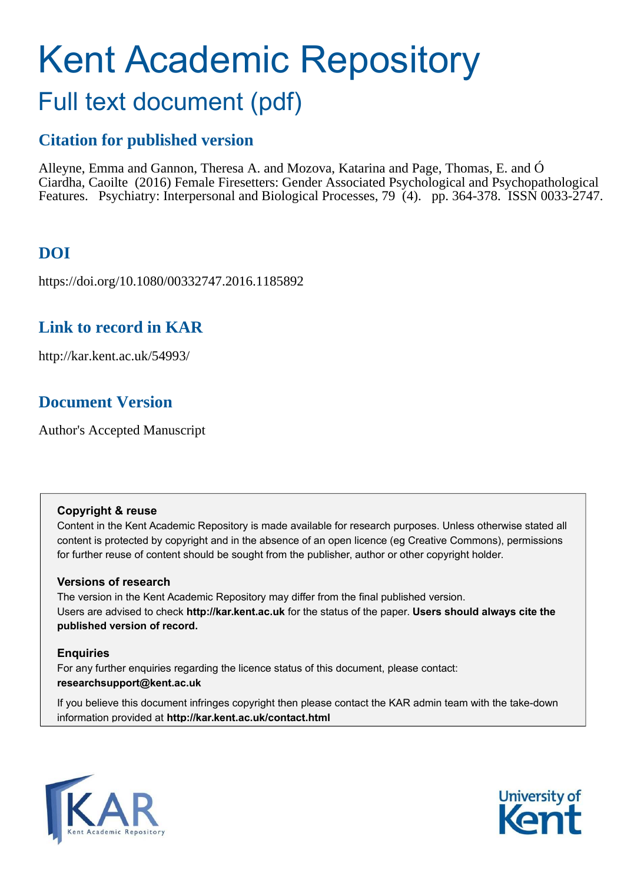# Kent Academic Repository

## Full text document (pdf)

## **Citation for published version**

Alleyne, Emma and Gannon, Theresa A. and Mozova, Katarina and Page, Thomas, E. and Ó Ciardha, Caoilte (2016) Female Firesetters: Gender Associated Psychological and Psychopathological Features. Psychiatry: Interpersonal and Biological Processes, 79 (4). pp. 364-378. ISSN 0033-2747.

## **DOI**

https://doi.org/10.1080/00332747.2016.1185892

## **Link to record in KAR**

http://kar.kent.ac.uk/54993/

## **Document Version**

Author's Accepted Manuscript

#### **Copyright & reuse**

Content in the Kent Academic Repository is made available for research purposes. Unless otherwise stated all content is protected by copyright and in the absence of an open licence (eg Creative Commons), permissions for further reuse of content should be sought from the publisher, author or other copyright holder.

#### **Versions of research**

The version in the Kent Academic Repository may differ from the final published version. Users are advised to check **http://kar.kent.ac.uk** for the status of the paper. **Users should always cite the published version of record.**

#### **Enquiries**

For any further enquiries regarding the licence status of this document, please contact: **researchsupport@kent.ac.uk**

If you believe this document infringes copyright then please contact the KAR admin team with the take-down information provided at **http://kar.kent.ac.uk/contact.html**



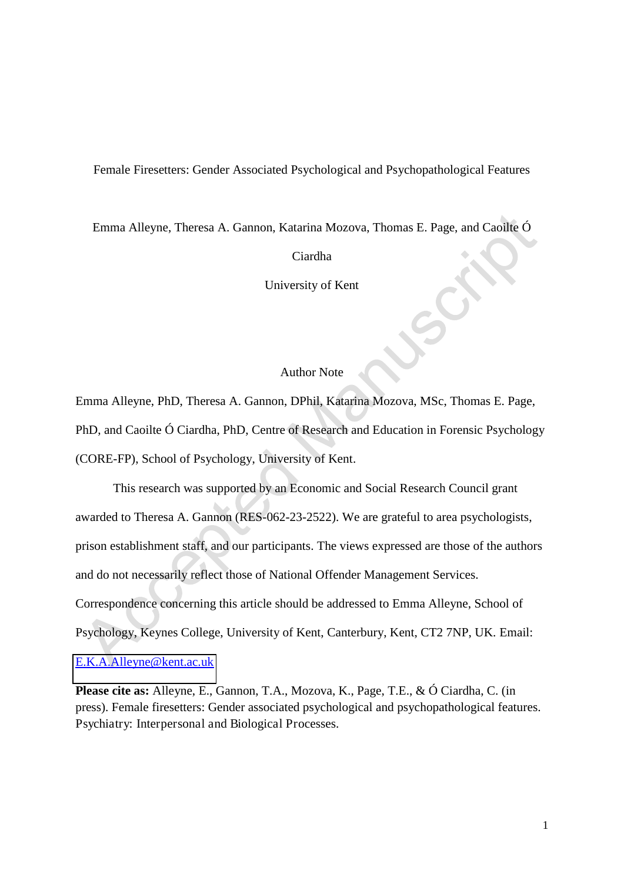Female Firesetters: Gender Associated Psychological and Psychopathological Features

Emma Alleyne, Theresa A. Gannon, Katarina Mozova, Thomas E. Page, and Caoilte Ó

Ciardha

University of Kent

#### Author Note

Emma Alleyne, PhD, Theresa A. Gannon, DPhil, Katarina Mozova, MSc, Thomas E. Page, PhD, and Caoilte Ó Ciardha, PhD, Centre of Research and Education in Forensic Psychology (CORE-FP), School of Psychology, University of Kent.

This research was supported by an Economic and Social Research Council grant awarded to Theresa A. Gannon (RES-062-23-2522). We are grateful to area psychologists, prison establishment staff, and our participants. The views expressed are those of the authors and do not necessarily reflect those of National Offender Management Services. Correspondence concerning this article should be addressed to Emma Alleyne, School of Psychology, Keynes College, University of Kent, Canterbury, Kent, CT2 7NP, UK. Email:

#### [E.K.A.Alleyne@kent.ac.uk](mailto:E.K.A.Alleyne@kent.ac.uk)

**Please cite as:** Alleyne, E., Gannon, T.A., Mozova, K., Page, T.E., & Ó Ciardha, C. (in press). Female firesetters: Gender associated psychological and psychopathological features. Psychiatry: Interpersonal and Biological Processes.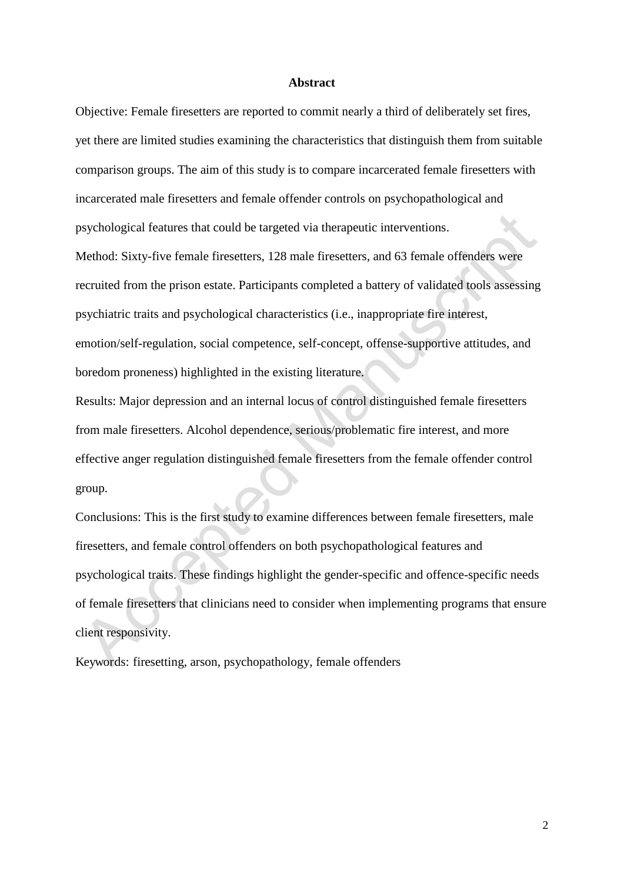#### **Abstract**

Objective: Female firesetters are reported to commit nearly a third of deliberately set fires, yet there are limited studies examining the characteristics that distinguish them from suitable comparison groups. The aim of this study is to compare incarcerated female firesetters with incarcerated male firesetters and female offender controls on psychopathological and psychological features that could be targeted via therapeutic interventions. Method: Sixty-five female firesetters, 128 male firesetters, and 63 female offenders were recruited from the prison estate. Participants completed a battery of validated tools assessing psychiatric traits and psychological characteristics (i.e., inappropriate fire interest, emotion/self-regulation, social competence, self-concept, offense-supportive attitudes, and boredom proneness) highlighted in the existing literature.

Results: Major depression and an internal locus of control distinguished female firesetters from male firesetters. Alcohol dependence, serious/problematic fire interest, and more effective anger regulation distinguished female firesetters from the female offender control group.

Conclusions: This is the first study to examine differences between female firesetters, male firesetters, and female control offenders on both psychopathological features and psychological traits. These findings highlight the gender-specific and offence-specific needs of female firesetters that clinicians need to consider when implementing programs that ensure client responsivity.

Keywords: firesetting, arson, psychopathology, female offenders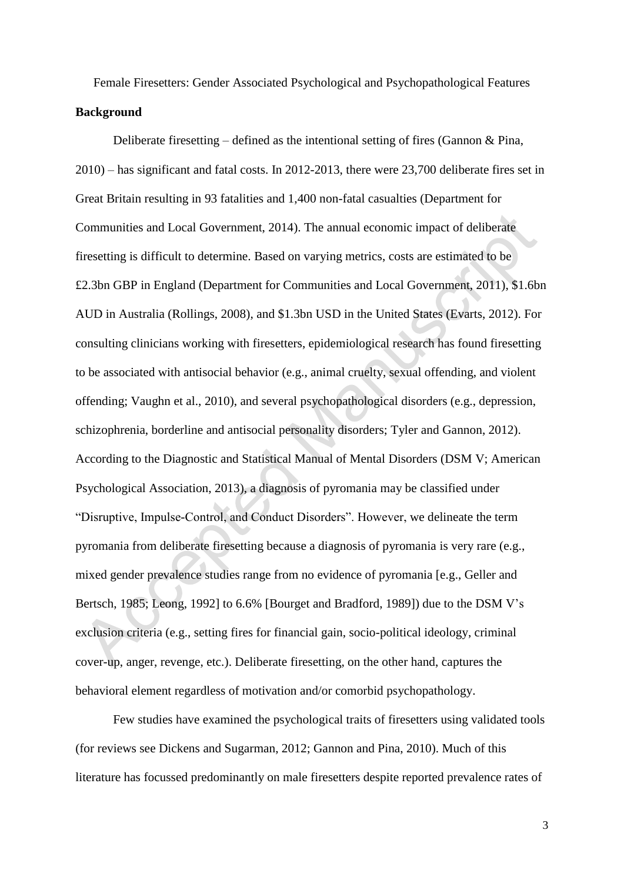Female Firesetters: Gender Associated Psychological and Psychopathological Features **Background** 

Deliberate firesetting – defined as the intentional setting of fires (Gannon  $\&$  Pina, 2010) – has significant and fatal costs. In 2012-2013, there were 23,700 deliberate fires set in Great Britain resulting in 93 fatalities and 1,400 non-fatal casualties (Department for Communities and Local Government, 2014). The annual economic impact of deliberate firesetting is difficult to determine. Based on varying metrics, costs are estimated to be £2.3bn GBP in England (Department for Communities and Local Government, 2011), \$1.6bn AUD in Australia (Rollings, 2008), and \$1.3bn USD in the United States (Evarts, 2012). For consulting clinicians working with firesetters, epidemiological research has found firesetting to be associated with antisocial behavior (e.g., animal cruelty, sexual offending, and violent offending; Vaughn et al., 2010), and several psychopathological disorders (e.g., depression, schizophrenia, borderline and antisocial personality disorders; Tyler and Gannon, 2012). According to the Diagnostic and Statistical Manual of Mental Disorders (DSM V; American Psychological Association, 2013), a diagnosis of pyromania may be classified under "Disruptive, Impulse-Control, and Conduct Disorders". However, we delineate the term pyromania from deliberate firesetting because a diagnosis of pyromania is very rare (e.g., mixed gender prevalence studies range from no evidence of pyromania [e.g., Geller and Bertsch, 1985; Leong, 1992] to 6.6% [Bourget and Bradford, 1989]) due to the DSM V's exclusion criteria (e.g., setting fires for financial gain, socio-political ideology, criminal cover-up, anger, revenge, etc.). Deliberate firesetting, on the other hand, captures the behavioral element regardless of motivation and/or comorbid psychopathology.

Few studies have examined the psychological traits of firesetters using validated tools (for reviews see Dickens and Sugarman, 2012; Gannon and Pina, 2010). Much of this literature has focussed predominantly on male firesetters despite reported prevalence rates of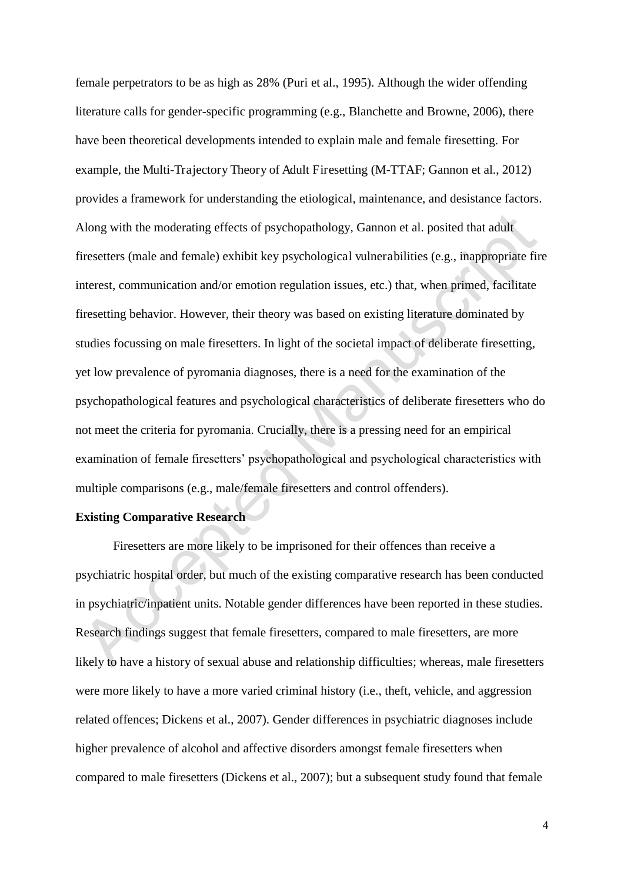female perpetrators to be as high as 28% (Puri et al., 1995). Although the wider offending literature calls for gender-specific programming (e.g., Blanchette and Browne, 2006), there have been theoretical developments intended to explain male and female firesetting. For example, the Multi-Trajectory Theory of Adult Firesetting (M-TTAF; Gannon et al., 2012) provides a framework for understanding the etiological, maintenance, and desistance factors. Along with the moderating effects of psychopathology, Gannon et al. posited that adult firesetters (male and female) exhibit key psychological vulnerabilities (e.g., inappropriate fire interest, communication and/or emotion regulation issues, etc.) that, when primed, facilitate firesetting behavior. However, their theory was based on existing literature dominated by studies focussing on male firesetters. In light of the societal impact of deliberate firesetting, yet low prevalence of pyromania diagnoses, there is a need for the examination of the psychopathological features and psychological characteristics of deliberate firesetters who do not meet the criteria for pyromania. Crucially, there is a pressing need for an empirical examination of female firesetters' psychopathological and psychological characteristics with multiple comparisons (e.g., male/female firesetters and control offenders).

#### **Existing Comparative Research**

 Firesetters are more likely to be imprisoned for their offences than receive a psychiatric hospital order, but much of the existing comparative research has been conducted in psychiatric/inpatient units. Notable gender differences have been reported in these studies. Research findings suggest that female firesetters, compared to male firesetters, are more likely to have a history of sexual abuse and relationship difficulties; whereas, male firesetters were more likely to have a more varied criminal history (i.e., theft, vehicle, and aggression related offences; Dickens et al., 2007). Gender differences in psychiatric diagnoses include higher prevalence of alcohol and affective disorders amongst female firesetters when compared to male firesetters (Dickens et al., 2007); but a subsequent study found that female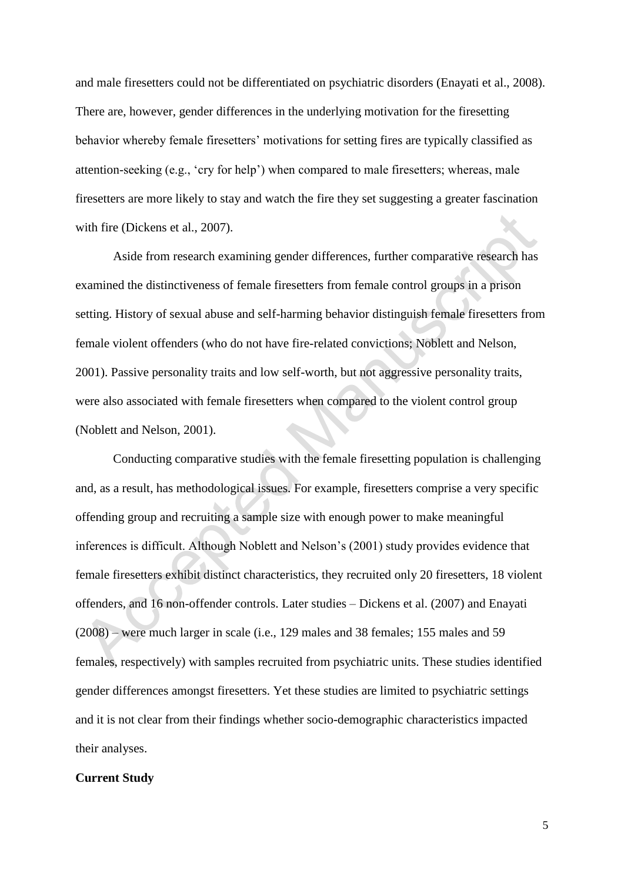and male firesetters could not be differentiated on psychiatric disorders (Enayati et al., 2008). There are, however, gender differences in the underlying motivation for the firesetting behavior whereby female firesetters' motivations for setting fires are typically classified as attention-seeking (e.g., 'cry for help') when compared to male firesetters; whereas, male firesetters are more likely to stay and watch the fire they set suggesting a greater fascination with fire (Dickens et al., 2007).

 Aside from research examining gender differences, further comparative research has examined the distinctiveness of female firesetters from female control groups in a prison setting. History of sexual abuse and self-harming behavior distinguish female firesetters from female violent offenders (who do not have fire-related convictions; Noblett and Nelson, 2001). Passive personality traits and low self-worth, but not aggressive personality traits, were also associated with female firesetters when compared to the violent control group (Noblett and Nelson, 2001).

 Conducting comparative studies with the female firesetting population is challenging and, as a result, has methodological issues. For example, firesetters comprise a very specific offending group and recruiting a sample size with enough power to make meaningful inferences is difficult. Although Noblett and Nelson's (2001) study provides evidence that female firesetters exhibit distinct characteristics, they recruited only 20 firesetters, 18 violent offenders, and 16 non-offender controls. Later studies – Dickens et al. (2007) and Enayati (2008) – were much larger in scale (i.e., 129 males and 38 females; 155 males and 59 females, respectively) with samples recruited from psychiatric units. These studies identified gender differences amongst firesetters. Yet these studies are limited to psychiatric settings and it is not clear from their findings whether socio-demographic characteristics impacted their analyses.

#### **Current Study**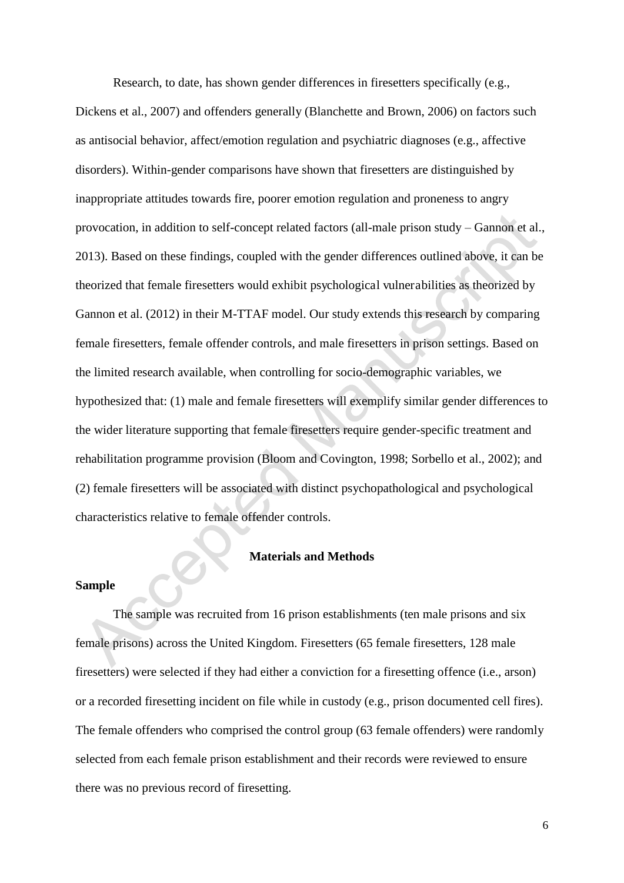Research, to date, has shown gender differences in firesetters specifically (e.g., Dickens et al., 2007) and offenders generally (Blanchette and Brown, 2006) on factors such as antisocial behavior, affect/emotion regulation and psychiatric diagnoses (e.g., affective disorders). Within-gender comparisons have shown that firesetters are distinguished by inappropriate attitudes towards fire, poorer emotion regulation and proneness to angry provocation, in addition to self-concept related factors (all-male prison study – Gannon et al., 2013). Based on these findings, coupled with the gender differences outlined above, it can be theorized that female firesetters would exhibit psychological vulnerabilities as theorized by Gannon et al. (2012) in their M-TTAF model. Our study extends this research by comparing female firesetters, female offender controls, and male firesetters in prison settings. Based on the limited research available, when controlling for socio-demographic variables, we hypothesized that: (1) male and female firesetters will exemplify similar gender differences to the wider literature supporting that female firesetters require gender-specific treatment and rehabilitation programme provision (Bloom and Covington, 1998; Sorbello et al., 2002); and (2) female firesetters will be associated with distinct psychopathological and psychological characteristics relative to female offender controls.

#### **Materials and Methods**

#### **Sample**

 The sample was recruited from 16 prison establishments (ten male prisons and six female prisons) across the United Kingdom. Firesetters (65 female firesetters, 128 male firesetters) were selected if they had either a conviction for a firesetting offence (i.e., arson) or a recorded firesetting incident on file while in custody (e.g., prison documented cell fires). The female offenders who comprised the control group (63 female offenders) were randomly selected from each female prison establishment and their records were reviewed to ensure there was no previous record of firesetting.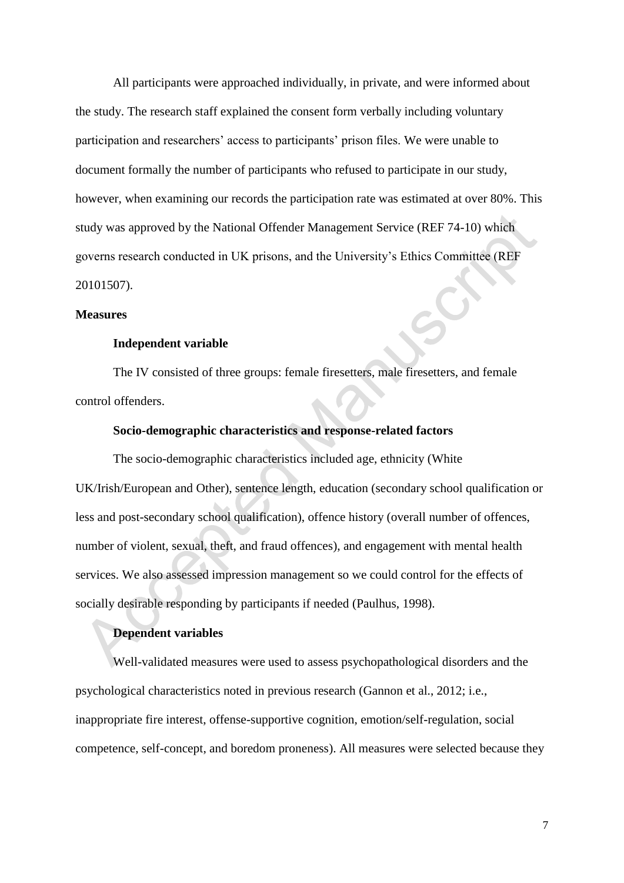All participants were approached individually, in private, and were informed about the study. The research staff explained the consent form verbally including voluntary participation and researchers' access to participants' prison files. We were unable to document formally the number of participants who refused to participate in our study, however, when examining our records the participation rate was estimated at over 80%. This study was approved by the National Offender Management Service (REF 74-10) which governs research conducted in UK prisons, and the University's Ethics Committee (REF 20101507).

#### **Measures**

#### **Independent variable**

 The IV consisted of three groups: female firesetters, male firesetters, and female control offenders.

#### **Socio-demographic characteristics and response-related factors**

The socio-demographic characteristics included age, ethnicity (White UK/Irish/European and Other), sentence length, education (secondary school qualification or less and post-secondary school qualification), offence history (overall number of offences, number of violent, sexual, theft, and fraud offences), and engagement with mental health services. We also assessed impression management so we could control for the effects of socially desirable responding by participants if needed (Paulhus, 1998).

#### **Dependent variables**

Well-validated measures were used to assess psychopathological disorders and the psychological characteristics noted in previous research (Gannon et al., 2012; i.e., inappropriate fire interest, offense-supportive cognition, emotion/self-regulation, social competence, self-concept, and boredom proneness). All measures were selected because they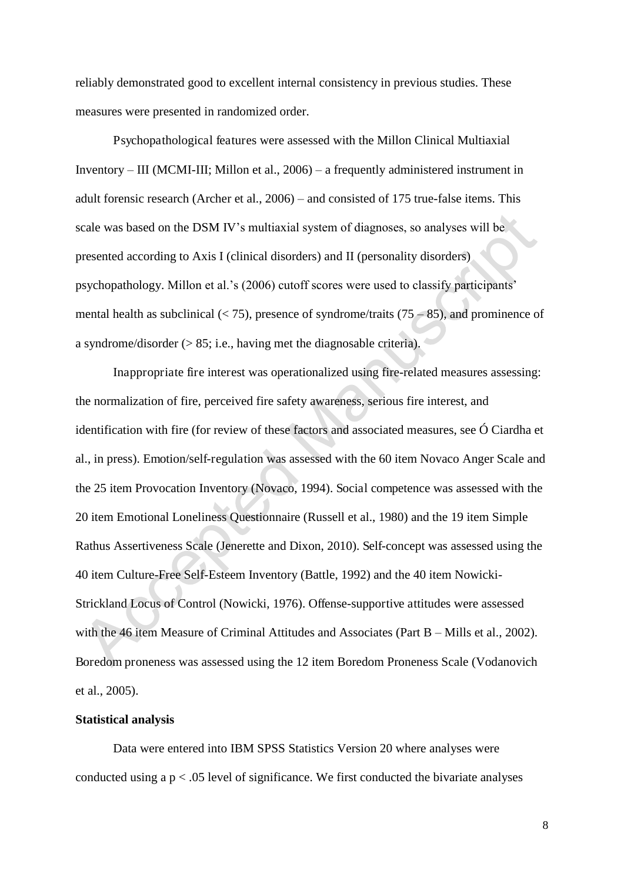reliably demonstrated good to excellent internal consistency in previous studies. These measures were presented in randomized order.

 Psychopathological features were assessed with the Millon Clinical Multiaxial Inventory – III (MCMI-III; Millon et al., 2006) – a frequently administered instrument in adult forensic research (Archer et al., 2006) – and consisted of 175 true-false items. This scale was based on the DSM IV's multiaxial system of diagnoses, so analyses will be presented according to Axis I (clinical disorders) and II (personality disorders) psychopathology. Millon et al.'s (2006) cutoff scores were used to classify participants' mental health as subclinical  $(< 75)$ , presence of syndrome/traits  $(75 – 85)$ , and prominence of a syndrome/disorder (> 85; i.e., having met the diagnosable criteria).

Inappropriate fire interest was operationalized using fire-related measures assessing: the normalization of fire, perceived fire safety awareness, serious fire interest, and identification with fire (for review of these factors and associated measures, see Ó Ciardha et al., in press). Emotion/self-regulation was assessed with the 60 item Novaco Anger Scale and the 25 item Provocation Inventory (Novaco, 1994). Social competence was assessed with the 20 item Emotional Loneliness Questionnaire (Russell et al., 1980) and the 19 item Simple Rathus Assertiveness Scale (Jenerette and Dixon, 2010). Self-concept was assessed using the 40 item Culture-Free Self-Esteem Inventory (Battle, 1992) and the 40 item Nowicki-Strickland Locus of Control (Nowicki, 1976). Offense-supportive attitudes were assessed with the 46 item Measure of Criminal Attitudes and Associates (Part B – Mills et al., 2002). Boredom proneness was assessed using the 12 item Boredom Proneness Scale (Vodanovich et al., 2005).

#### **Statistical analysis**

 Data were entered into IBM SPSS Statistics Version 20 where analyses were conducted using a  $p < .05$  level of significance. We first conducted the bivariate analyses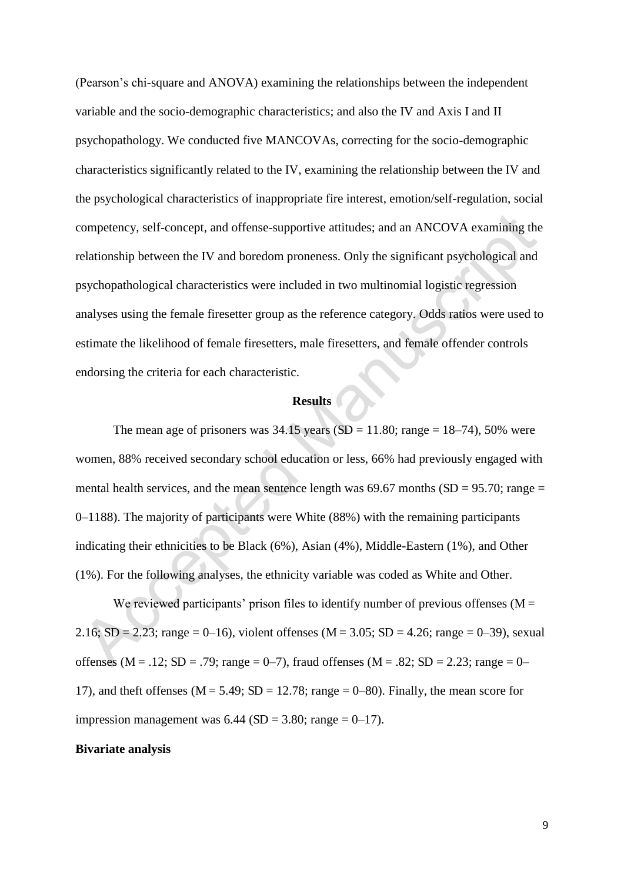(Pearson's chi-square and ANOVA) examining the relationships between the independent variable and the socio-demographic characteristics; and also the IV and Axis I and II psychopathology. We conducted five MANCOVAs, correcting for the socio-demographic characteristics significantly related to the IV, examining the relationship between the IV and the psychological characteristics of inappropriate fire interest, emotion/self-regulation, social competency, self-concept, and offense-supportive attitudes; and an ANCOVA examining the relationship between the IV and boredom proneness. Only the significant psychological and psychopathological characteristics were included in two multinomial logistic regression analyses using the female firesetter group as the reference category. Odds ratios were used to estimate the likelihood of female firesetters, male firesetters, and female offender controls endorsing the criteria for each characteristic.

#### **Results**

The mean age of prisoners was  $34.15$  years (SD = 11.80; range = 18–74), 50% were women, 88% received secondary school education or less, 66% had previously engaged with mental health services, and the mean sentence length was  $69.67$  months (SD = 95.70; range = 0–1188). The majority of participants were White (88%) with the remaining participants indicating their ethnicities to be Black (6%), Asian (4%), Middle-Eastern (1%), and Other (1%). For the following analyses, the ethnicity variable was coded as White and Other.

We reviewed participants' prison files to identify number of previous offenses ( $M =$ 2.16;  $SD = 2.23$ ; range = 0–16), violent offenses (M = 3.05;  $SD = 4.26$ ; range = 0–39), sexual offenses (M = .12; SD = .79; range = 0–7), fraud offenses (M = .82; SD = 2.23; range = 0– 17), and theft offenses ( $M = 5.49$ ;  $SD = 12.78$ ; range = 0–80). Finally, the mean score for impression management was  $6.44$  (SD = 3.80; range = 0–17).

#### **Bivariate analysis**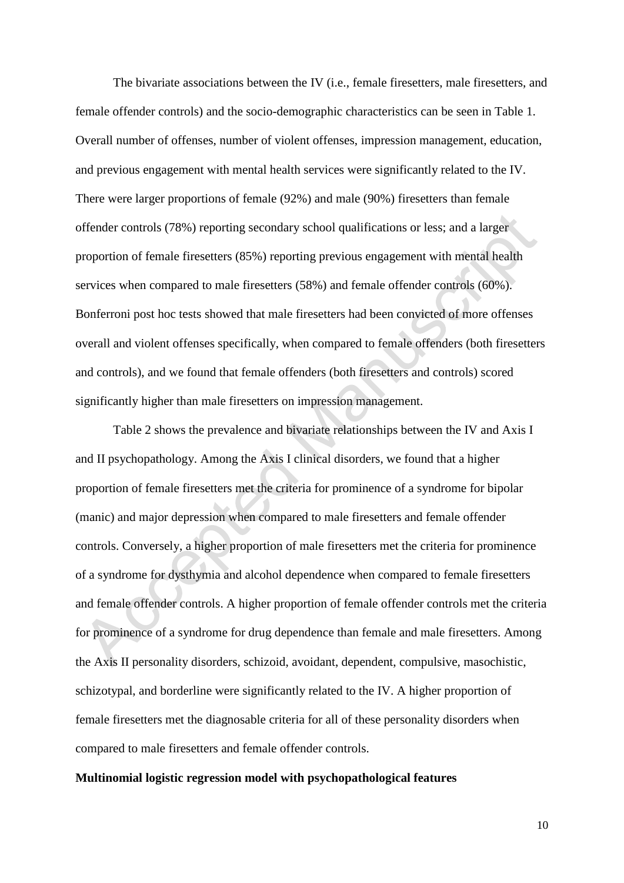The bivariate associations between the IV (i.e., female firesetters, male firesetters, and female offender controls) and the socio-demographic characteristics can be seen in Table 1. Overall number of offenses, number of violent offenses, impression management, education, and previous engagement with mental health services were significantly related to the IV. There were larger proportions of female (92%) and male (90%) firesetters than female offender controls (78%) reporting secondary school qualifications or less; and a larger proportion of female firesetters (85%) reporting previous engagement with mental health services when compared to male firesetters (58%) and female offender controls (60%). Bonferroni post hoc tests showed that male firesetters had been convicted of more offenses overall and violent offenses specifically, when compared to female offenders (both firesetters and controls), and we found that female offenders (both firesetters and controls) scored significantly higher than male firesetters on impression management.

 Table 2 shows the prevalence and bivariate relationships between the IV and Axis I and II psychopathology. Among the Axis I clinical disorders, we found that a higher proportion of female firesetters met the criteria for prominence of a syndrome for bipolar (manic) and major depression when compared to male firesetters and female offender controls. Conversely, a higher proportion of male firesetters met the criteria for prominence of a syndrome for dysthymia and alcohol dependence when compared to female firesetters and female offender controls. A higher proportion of female offender controls met the criteria for prominence of a syndrome for drug dependence than female and male firesetters. Among the Axis II personality disorders, schizoid, avoidant, dependent, compulsive, masochistic, schizotypal, and borderline were significantly related to the IV. A higher proportion of female firesetters met the diagnosable criteria for all of these personality disorders when compared to male firesetters and female offender controls.

#### **Multinomial logistic regression model with psychopathological features**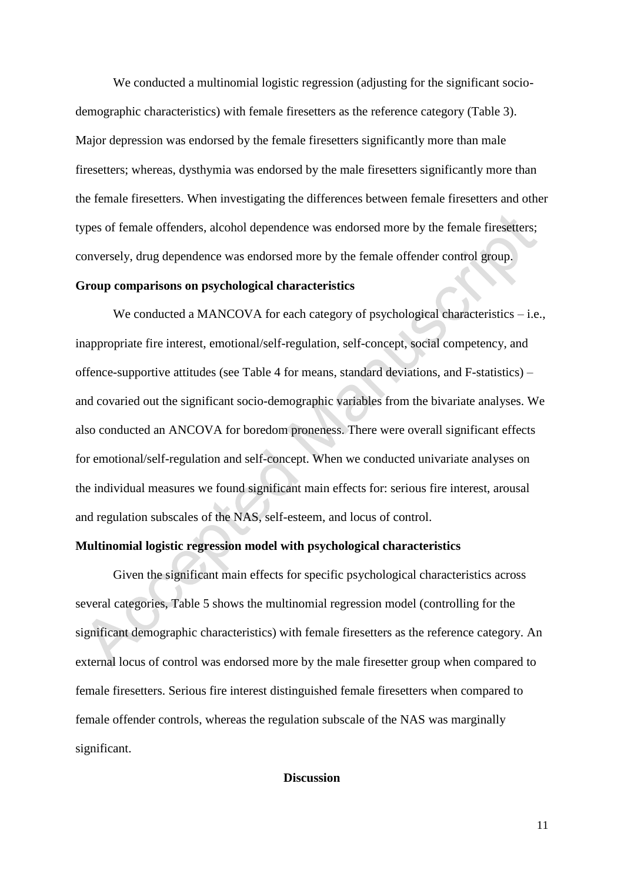We conducted a multinomial logistic regression (adjusting for the significant sociodemographic characteristics) with female firesetters as the reference category (Table 3). Major depression was endorsed by the female firesetters significantly more than male firesetters; whereas, dysthymia was endorsed by the male firesetters significantly more than the female firesetters. When investigating the differences between female firesetters and other types of female offenders, alcohol dependence was endorsed more by the female firesetters; conversely, drug dependence was endorsed more by the female offender control group.

#### **Group comparisons on psychological characteristics**

We conducted a MANCOVA for each category of psychological characteristics – i.e., inappropriate fire interest, emotional/self-regulation, self-concept, social competency, and offence-supportive attitudes (see Table 4 for means, standard deviations, and F-statistics) – and covaried out the significant socio-demographic variables from the bivariate analyses. We also conducted an ANCOVA for boredom proneness. There were overall significant effects for emotional/self-regulation and self-concept. When we conducted univariate analyses on the individual measures we found significant main effects for: serious fire interest, arousal and regulation subscales of the NAS, self-esteem, and locus of control.

#### **Multinomial logistic regression model with psychological characteristics**

Given the significant main effects for specific psychological characteristics across several categories, Table 5 shows the multinomial regression model (controlling for the significant demographic characteristics) with female firesetters as the reference category. An external locus of control was endorsed more by the male firesetter group when compared to female firesetters. Serious fire interest distinguished female firesetters when compared to female offender controls, whereas the regulation subscale of the NAS was marginally significant.

#### **Discussion**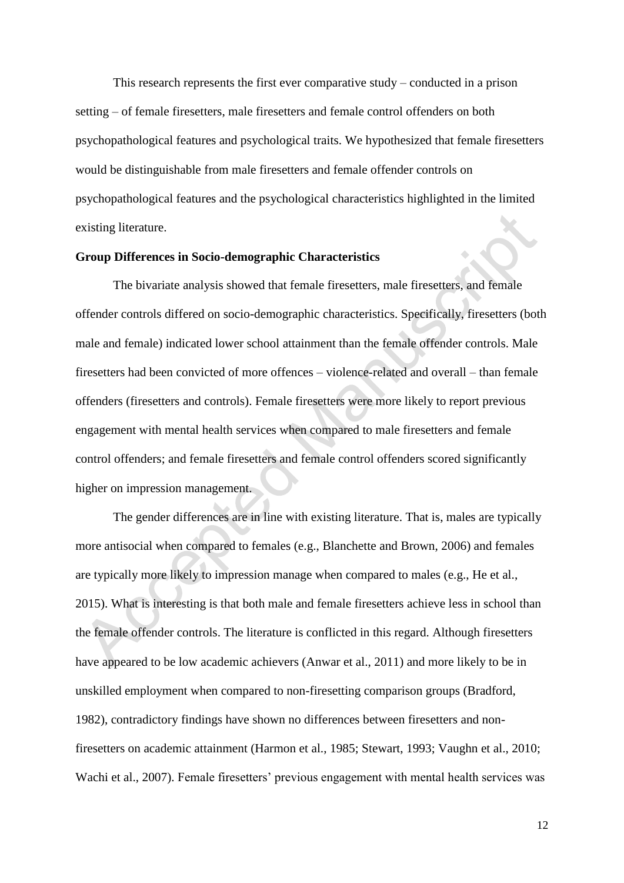This research represents the first ever comparative study – conducted in a prison setting – of female firesetters, male firesetters and female control offenders on both psychopathological features and psychological traits. We hypothesized that female firesetters would be distinguishable from male firesetters and female offender controls on psychopathological features and the psychological characteristics highlighted in the limited existing literature.

#### **Group Differences in Socio-demographic Characteristics**

 The bivariate analysis showed that female firesetters, male firesetters, and female offender controls differed on socio-demographic characteristics. Specifically, firesetters (both male and female) indicated lower school attainment than the female offender controls. Male firesetters had been convicted of more offences – violence-related and overall – than female offenders (firesetters and controls). Female firesetters were more likely to report previous engagement with mental health services when compared to male firesetters and female control offenders; and female firesetters and female control offenders scored significantly higher on impression management.

 The gender differences are in line with existing literature. That is, males are typically more antisocial when compared to females (e.g., Blanchette and Brown, 2006) and females are typically more likely to impression manage when compared to males (e.g., He et al., 2015). What is interesting is that both male and female firesetters achieve less in school than the female offender controls. The literature is conflicted in this regard. Although firesetters have appeared to be low academic achievers (Anwar et al., 2011) and more likely to be in unskilled employment when compared to non-firesetting comparison groups (Bradford, 1982), contradictory findings have shown no differences between firesetters and nonfiresetters on academic attainment (Harmon et al., 1985; Stewart, 1993; Vaughn et al., 2010; Wachi et al., 2007). Female firesetters' previous engagement with mental health services was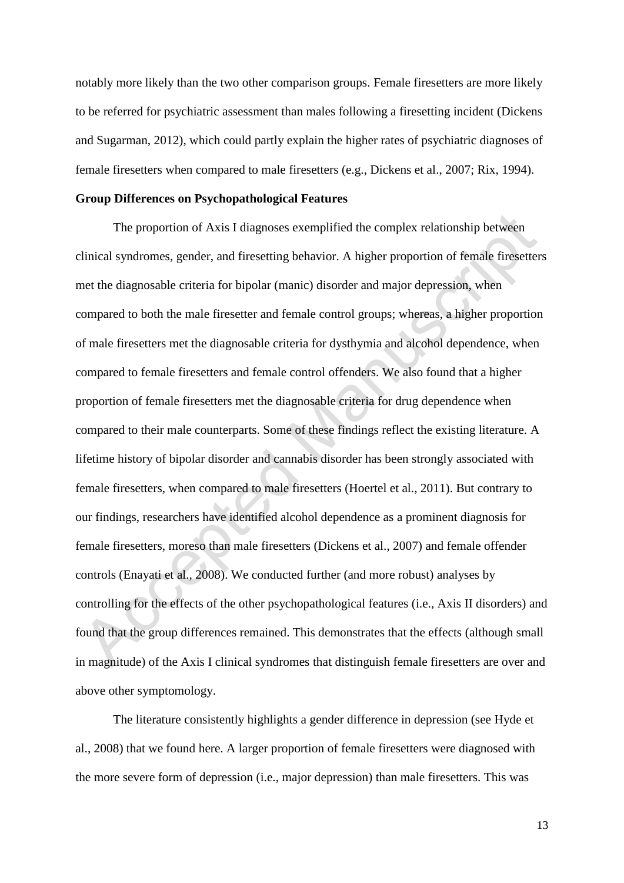notably more likely than the two other comparison groups. Female firesetters are more likely to be referred for psychiatric assessment than males following a firesetting incident (Dickens and Sugarman, 2012), which could partly explain the higher rates of psychiatric diagnoses of female firesetters when compared to male firesetters (e.g., Dickens et al., 2007; Rix, 1994).

#### **Group Differences on Psychopathological Features**

 The proportion of Axis I diagnoses exemplified the complex relationship between clinical syndromes, gender, and firesetting behavior. A higher proportion of female firesetters met the diagnosable criteria for bipolar (manic) disorder and major depression, when compared to both the male firesetter and female control groups; whereas, a higher proportion of male firesetters met the diagnosable criteria for dysthymia and alcohol dependence, when compared to female firesetters and female control offenders. We also found that a higher proportion of female firesetters met the diagnosable criteria for drug dependence when compared to their male counterparts. Some of these findings reflect the existing literature. A lifetime history of bipolar disorder and cannabis disorder has been strongly associated with female firesetters, when compared to male firesetters (Hoertel et al., 2011). But contrary to our findings, researchers have identified alcohol dependence as a prominent diagnosis for female firesetters, moreso than male firesetters (Dickens et al., 2007) and female offender controls (Enayati et al., 2008). We conducted further (and more robust) analyses by controlling for the effects of the other psychopathological features (i.e., Axis II disorders) and found that the group differences remained. This demonstrates that the effects (although small in magnitude) of the Axis I clinical syndromes that distinguish female firesetters are over and above other symptomology.

The literature consistently highlights a gender difference in depression (see Hyde et al., 2008) that we found here. A larger proportion of female firesetters were diagnosed with the more severe form of depression (i.e., major depression) than male firesetters. This was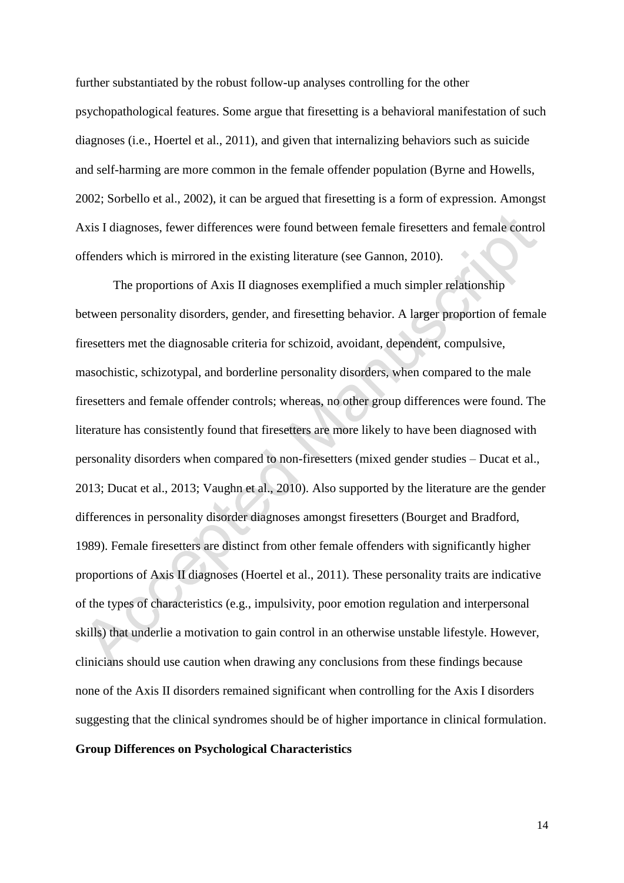further substantiated by the robust follow-up analyses controlling for the other psychopathological features. Some argue that firesetting is a behavioral manifestation of such diagnoses (i.e., Hoertel et al., 2011), and given that internalizing behaviors such as suicide and self-harming are more common in the female offender population (Byrne and Howells, 2002; Sorbello et al., 2002), it can be argued that firesetting is a form of expression. Amongst Axis I diagnoses, fewer differences were found between female firesetters and female control offenders which is mirrored in the existing literature (see Gannon, 2010).

 The proportions of Axis II diagnoses exemplified a much simpler relationship between personality disorders, gender, and firesetting behavior. A larger proportion of female firesetters met the diagnosable criteria for schizoid, avoidant, dependent, compulsive, masochistic, schizotypal, and borderline personality disorders, when compared to the male firesetters and female offender controls; whereas, no other group differences were found. The literature has consistently found that firesetters are more likely to have been diagnosed with personality disorders when compared to non-firesetters (mixed gender studies – Ducat et al., 2013; Ducat et al., 2013; Vaughn et al., 2010). Also supported by the literature are the gender differences in personality disorder diagnoses amongst firesetters (Bourget and Bradford, 1989). Female firesetters are distinct from other female offenders with significantly higher proportions of Axis II diagnoses (Hoertel et al., 2011). These personality traits are indicative of the types of characteristics (e.g., impulsivity, poor emotion regulation and interpersonal skills) that underlie a motivation to gain control in an otherwise unstable lifestyle. However, clinicians should use caution when drawing any conclusions from these findings because none of the Axis II disorders remained significant when controlling for the Axis I disorders suggesting that the clinical syndromes should be of higher importance in clinical formulation. **Group Differences on Psychological Characteristics**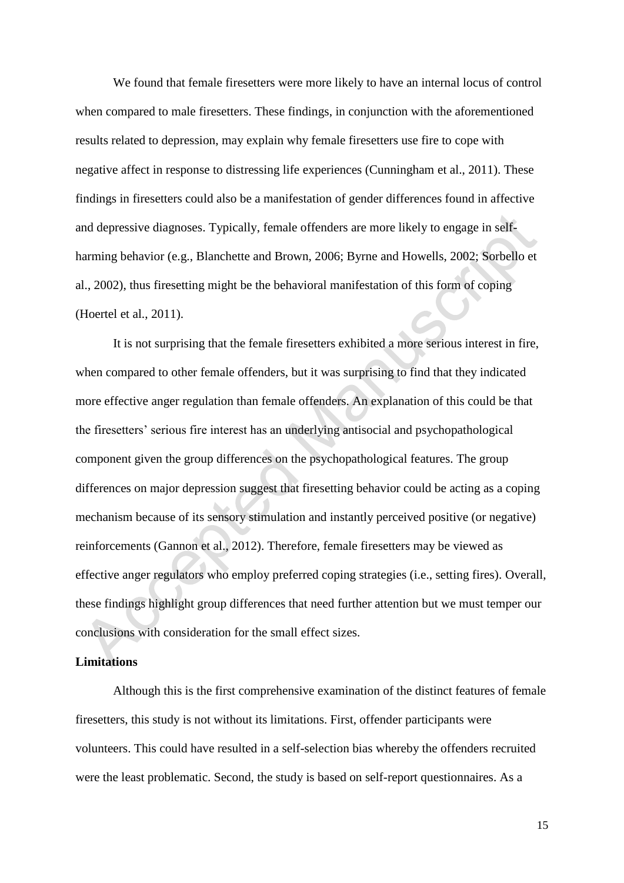We found that female firesetters were more likely to have an internal locus of control when compared to male firesetters. These findings, in conjunction with the aforementioned results related to depression, may explain why female firesetters use fire to cope with negative affect in response to distressing life experiences (Cunningham et al., 2011). These findings in firesetters could also be a manifestation of gender differences found in affective and depressive diagnoses. Typically, female offenders are more likely to engage in selfharming behavior (e.g., Blanchette and Brown, 2006; Byrne and Howells, 2002; Sorbello et al., 2002), thus firesetting might be the behavioral manifestation of this form of coping (Hoertel et al., 2011).

 It is not surprising that the female firesetters exhibited a more serious interest in fire, when compared to other female offenders, but it was surprising to find that they indicated more effective anger regulation than female offenders. An explanation of this could be that the firesetters' serious fire interest has an underlying antisocial and psychopathological component given the group differences on the psychopathological features. The group differences on major depression suggest that firesetting behavior could be acting as a coping mechanism because of its sensory stimulation and instantly perceived positive (or negative) reinforcements (Gannon et al., 2012). Therefore, female firesetters may be viewed as effective anger regulators who employ preferred coping strategies (i.e., setting fires). Overall, these findings highlight group differences that need further attention but we must temper our conclusions with consideration for the small effect sizes.

#### **Limitations**

 Although this is the first comprehensive examination of the distinct features of female firesetters, this study is not without its limitations. First, offender participants were volunteers. This could have resulted in a self-selection bias whereby the offenders recruited were the least problematic. Second, the study is based on self-report questionnaires. As a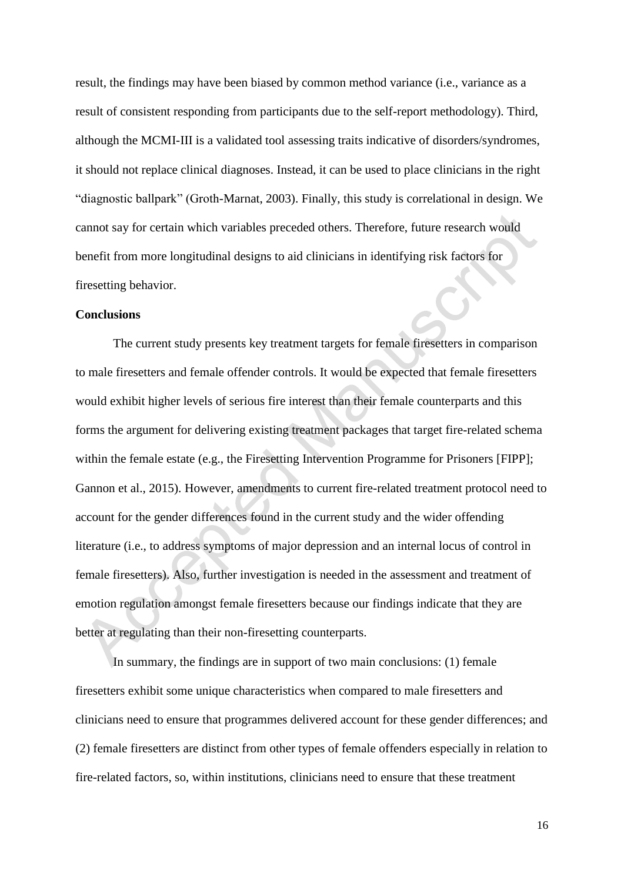result, the findings may have been biased by common method variance (i.e., variance as a result of consistent responding from participants due to the self-report methodology). Third, although the MCMI-III is a validated tool assessing traits indicative of disorders/syndromes, it should not replace clinical diagnoses. Instead, it can be used to place clinicians in the right "diagnostic ballpark" (Groth-Marnat, 2003). Finally, this study is correlational in design. We cannot say for certain which variables preceded others. Therefore, future research would benefit from more longitudinal designs to aid clinicians in identifying risk factors for firesetting behavior.

#### **Conclusions**

The current study presents key treatment targets for female firesetters in comparison to male firesetters and female offender controls. It would be expected that female firesetters would exhibit higher levels of serious fire interest than their female counterparts and this forms the argument for delivering existing treatment packages that target fire-related schema within the female estate (e.g., the Firesetting Intervention Programme for Prisoners [FIPP]; Gannon et al., 2015). However, amendments to current fire-related treatment protocol need to account for the gender differences found in the current study and the wider offending literature (i.e., to address symptoms of major depression and an internal locus of control in female firesetters). Also, further investigation is needed in the assessment and treatment of emotion regulation amongst female firesetters because our findings indicate that they are better at regulating than their non-firesetting counterparts.

In summary, the findings are in support of two main conclusions: (1) female firesetters exhibit some unique characteristics when compared to male firesetters and clinicians need to ensure that programmes delivered account for these gender differences; and (2) female firesetters are distinct from other types of female offenders especially in relation to fire-related factors, so, within institutions, clinicians need to ensure that these treatment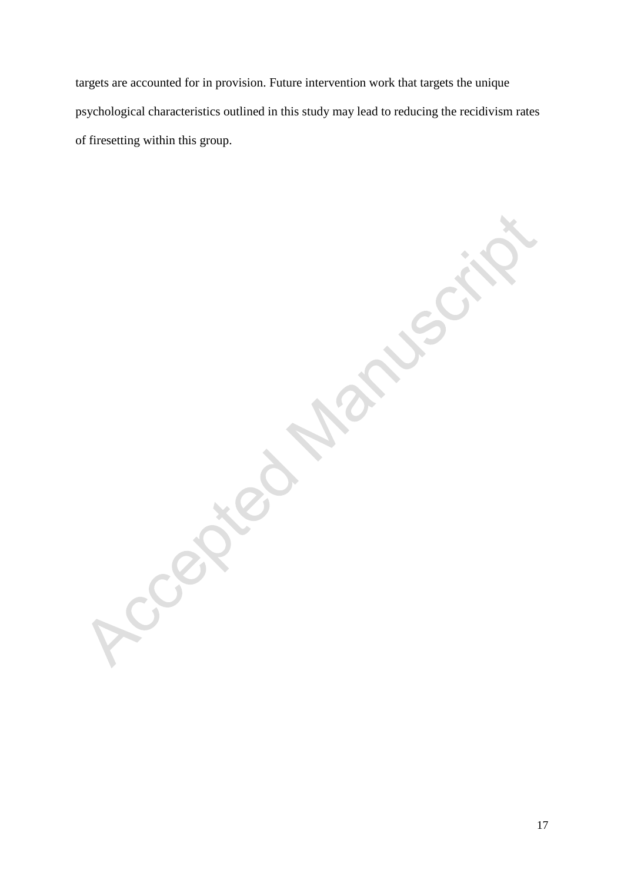targets are accounted for in provision. Future intervention work that targets the unique psychological characteristics outlined in this study may lead to reducing the recidivism rates of firesetting within this group.

Accepted

**PRICE**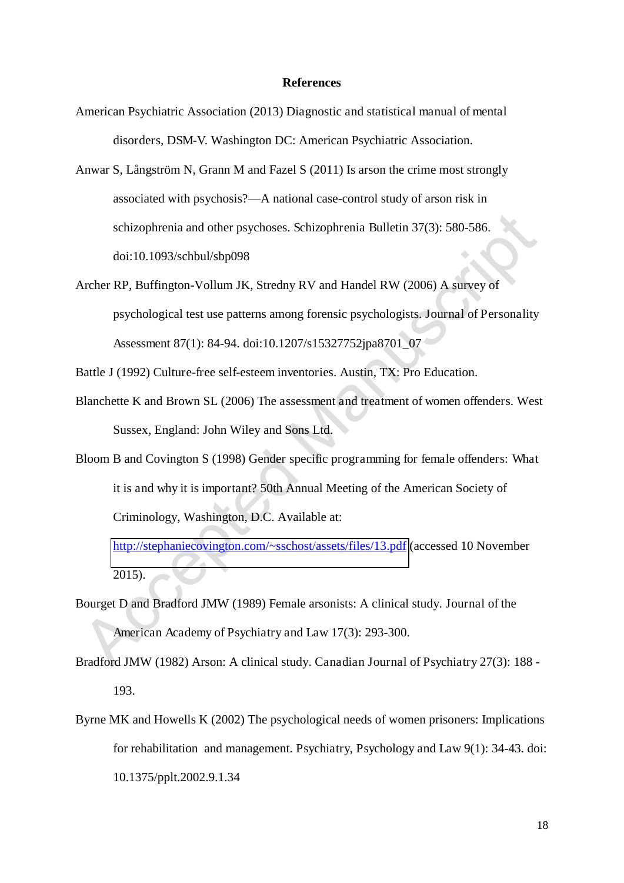#### **References**

- American Psychiatric Association (2013) Diagnostic and statistical manual of mental disorders, DSM-V. Washington DC: American Psychiatric Association.
- Anwar S, Långström N, Grann M and Fazel S (2011) Is arson the crime most strongly associated with psychosis?—A national case-control study of arson risk in schizophrenia and other psychoses. Schizophrenia Bulletin 37(3): 580-586. doi:10.1093/schbul/sbp098
- Archer RP, Buffington-Vollum JK, Stredny RV and Handel RW (2006) A survey of psychological test use patterns among forensic psychologists. Journal of Personality Assessment 87(1): 84-94. doi:10.1207/s15327752jpa8701\_07

Battle J (1992) Culture-free self-esteem inventories. Austin, TX: Pro Education.

- Blanchette K and Brown SL (2006) The assessment and treatment of women offenders. West Sussex, England: John Wiley and Sons Ltd.
- Bloom B and Covington S (1998) Gender specific programming for female offenders: What it is and why it is important? 50th Annual Meeting of the American Society of Criminology, Washington, D.C. Available at:

<http://stephaniecovington.com/~sschost/assets/files/13.pdf>(accessed 10 November 2015).

- Bourget D and Bradford JMW (1989) Female arsonists: A clinical study. Journal of the American Academy of Psychiatry and Law 17(3): 293-300.
- Bradford JMW (1982) Arson: A clinical study. Canadian Journal of Psychiatry 27(3): 188 193.
- Byrne MK and Howells K (2002) The psychological needs of women prisoners: Implications for rehabilitation and management. Psychiatry, Psychology and Law 9(1): 34-43. doi: 10.1375/pplt.2002.9.1.34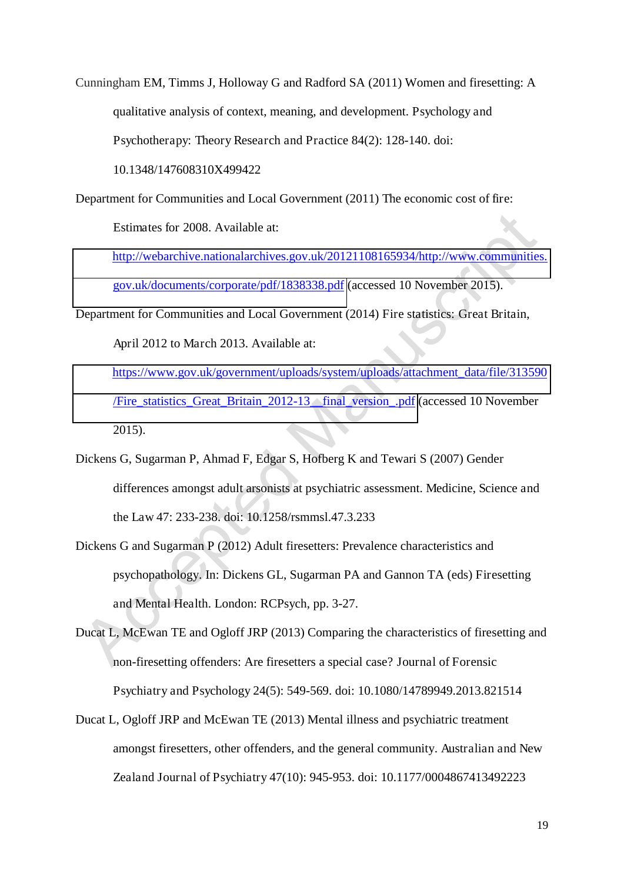Cunningham EM, Timms J, Holloway G and Radford SA (2011) Women and firesetting: A qualitative analysis of context, meaning, and development. Psychology and Psychotherapy: Theory Research and Practice 84(2): 128-140. doi: 10.1348/147608310X499422

Department for Communities and Local Government (2011) The economic cost of fire:

Estimates for 2008. Available at:

[http://webarchive.nationalarchives.gov.uk/20121108165934/http://www.communities.](http://webarchive.nationalarchives.gov.uk/20121108165934/http:/www.communities.gov.uk/documents/corporate/pdf/1838338.pdf) [gov.uk/documents/corporate/pdf/1838338.pdf](http://webarchive.nationalarchives.gov.uk/20121108165934/http:/www.communities.gov.uk/documents/corporate/pdf/1838338.pdf) (accessed 10 November 2015).

Department for Communities and Local Government (2014) Fire statistics: Great Britain,

April 2012 to March 2013. Available at:

[https://www.gov.uk/government/uploads/system/uploads/attachment\\_data/file/313590](https://www.gov.uk/government/uploads/system/uploads/attachment_data/file/313590/Fire_statistics_Great_Britain_2012-13__final_version_.pdf) [/Fire\\_statistics\\_Great\\_Britain\\_2012-13\\_\\_final\\_version\\_.pdf](https://www.gov.uk/government/uploads/system/uploads/attachment_data/file/313590/Fire_statistics_Great_Britain_2012-13__final_version_.pdf) (accessed 10 November 2015).

- Dickens G, Sugarman P, Ahmad F, Edgar S, Hofberg K and Tewari S (2007) Gender differences amongst adult arsonists at psychiatric assessment. Medicine, Science and the Law 47: 233-238. doi: 10.1258/rsmmsl.47.3.233
- Dickens G and Sugarman P (2012) Adult firesetters: Prevalence characteristics and psychopathology. In: Dickens GL, Sugarman PA and Gannon TA (eds) Firesetting and Mental Health. London: RCPsych, pp. 3-27.
- Ducat L, McEwan TE and Ogloff JRP (2013) Comparing the characteristics of firesetting and non-firesetting offenders: Are firesetters a special case? Journal of Forensic Psychiatry and Psychology 24(5): 549-569. doi: 10.1080/14789949.2013.821514
- Ducat L, Ogloff JRP and McEwan TE (2013) Mental illness and psychiatric treatment amongst firesetters, other offenders, and the general community. Australian and New Zealand Journal of Psychiatry 47(10): 945-953. doi: 10.1177/0004867413492223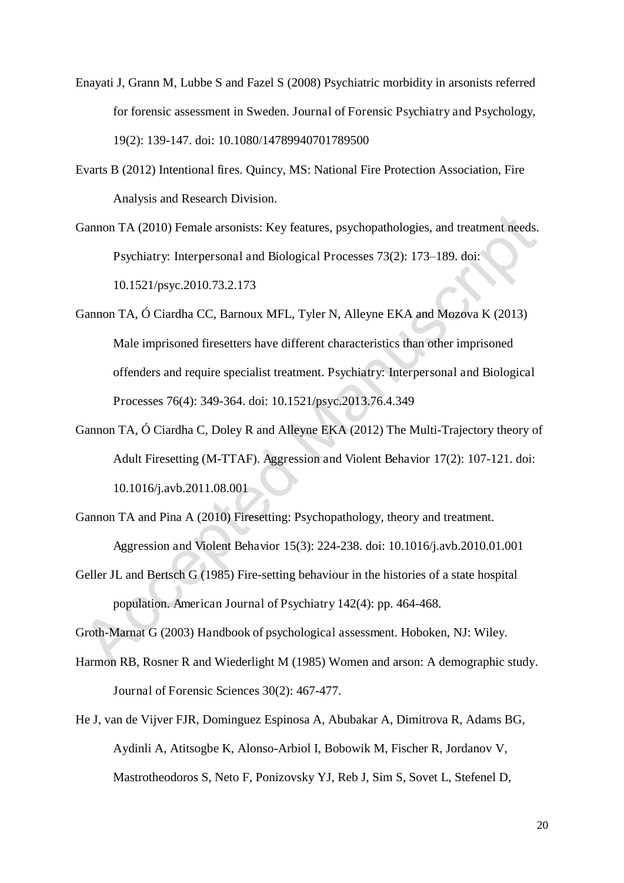- Enayati J, Grann M, Lubbe S and Fazel S (2008) Psychiatric morbidity in arsonists referred for forensic assessment in Sweden. Journal of Forensic Psychiatry and Psychology, 19(2): 139-147. doi: 10.1080/14789940701789500
- Evarts B (2012) Intentional fires. Quincy, MS: National Fire Protection Association, Fire Analysis and Research Division.
- Gannon TA (2010) Female arsonists: Key features, psychopathologies, and treatment needs. Psychiatry: Interpersonal and Biological Processes 73(2): 173–189. doi: 10.1521/psyc.2010.73.2.173
- Gannon TA, Ó Ciardha CC, Barnoux MFL, Tyler N, Alleyne EKA and Mozova K (2013) Male imprisoned firesetters have different characteristics than other imprisoned offenders and require specialist treatment. Psychiatry: Interpersonal and Biological Processes 76(4): 349-364. doi: 10.1521/psyc.2013.76.4.349
- Gannon TA, Ó Ciardha C, Doley R and Alleyne EKA (2012) The Multi-Trajectory theory of Adult Firesetting (M-TTAF). Aggression and Violent Behavior 17(2): 107-121. doi: 10.1016/j.avb.2011.08.001
- Gannon TA and Pina A (2010) Firesetting: Psychopathology, theory and treatment. Aggression and Violent Behavior 15(3): 224-238. doi: 10.1016/j.avb.2010.01.001
- Geller JL and Bertsch G (1985) Fire-setting behaviour in the histories of a state hospital population. American Journal of Psychiatry 142(4): pp. 464-468.

Groth-Marnat G (2003) Handbook of psychological assessment. Hoboken, NJ: Wiley.

- Harmon RB, Rosner R and Wiederlight M (1985) Women and arson: A demographic study. Journal of Forensic Sciences 30(2): 467-477.
- He J, van de Vijver FJR, Dominguez Espinosa A, Abubakar A, Dimitrova R, Adams BG, Aydinli A, Atitsogbe K, Alonso-Arbiol I, Bobowik M, Fischer R, Jordanov V, Mastrotheodoros S, Neto F, Ponizovsky YJ, Reb J, Sim S, Sovet L, Stefenel D,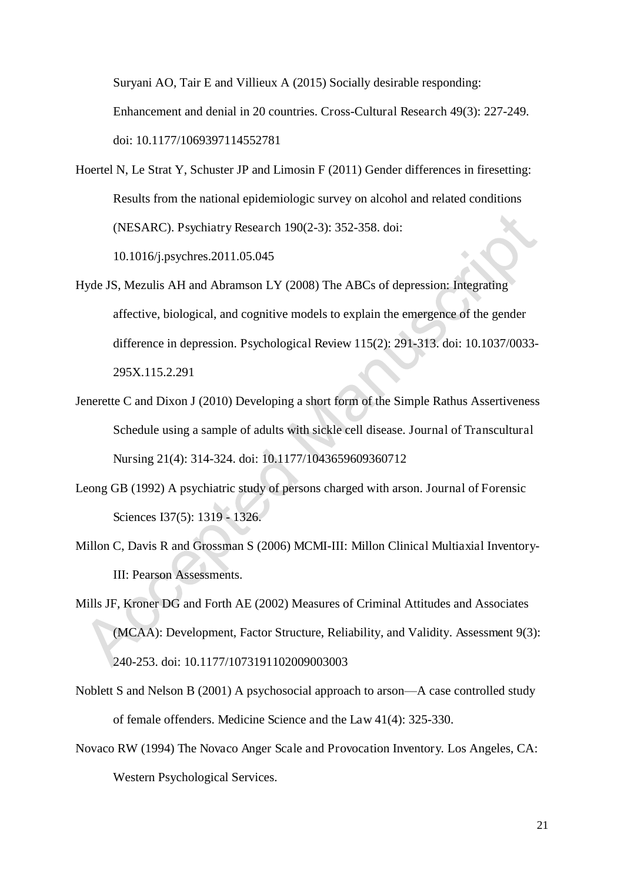Suryani AO, Tair E and Villieux A (2015) Socially desirable responding: Enhancement and denial in 20 countries. Cross-Cultural Research 49(3): 227-249. doi: 10.1177/1069397114552781

Hoertel N, Le Strat Y, Schuster JP and Limosin F (2011) Gender differences in firesetting: Results from the national epidemiologic survey on alcohol and related conditions (NESARC). Psychiatry Research 190(2-3): 352-358. doi:

10.1016/j.psychres.2011.05.045

- Hyde JS, Mezulis AH and Abramson LY (2008) The ABCs of depression: Integrating affective, biological, and cognitive models to explain the emergence of the gender difference in depression. Psychological Review 115(2): 291-313. doi: 10.1037/0033- 295X.115.2.291
- Jenerette C and Dixon J (2010) Developing a short form of the Simple Rathus Assertiveness Schedule using a sample of adults with sickle cell disease. Journal of Transcultural Nursing 21(4): 314-324. doi: 10.1177/1043659609360712
- Leong GB (1992) A psychiatric study of persons charged with arson. Journal of Forensic Sciences I37(5): 1319 - 1326.
- Millon C, Davis R and Grossman S (2006) MCMI-III: Millon Clinical Multiaxial Inventory-III: Pearson Assessments.
- Mills JF, Kroner DG and Forth AE (2002) Measures of Criminal Attitudes and Associates (MCAA): Development, Factor Structure, Reliability, and Validity. Assessment 9(3): 240-253. doi: 10.1177/1073191102009003003
- Noblett S and Nelson B (2001) A psychosocial approach to arson—A case controlled study of female offenders. Medicine Science and the Law 41(4): 325-330.
- Novaco RW (1994) The Novaco Anger Scale and Provocation Inventory. Los Angeles, CA: Western Psychological Services.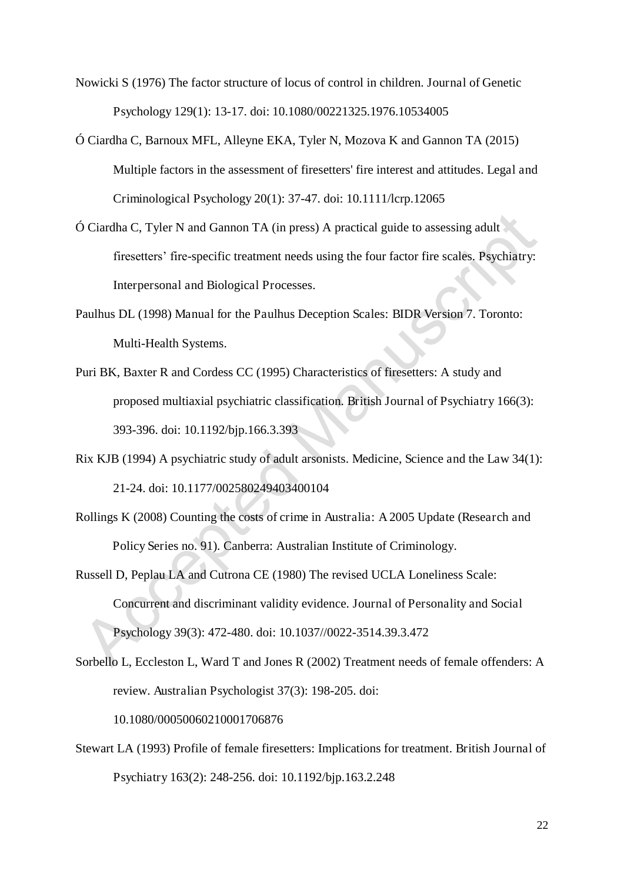Nowicki S (1976) The factor structure of locus of control in children. Journal of Genetic Psychology 129(1): 13-17. doi: 10.1080/00221325.1976.10534005

- Ó Ciardha C, Barnoux MFL, Alleyne EKA, Tyler N, Mozova K and Gannon TA (2015) Multiple factors in the assessment of firesetters' fire interest and attitudes. Legal and Criminological Psychology 20(1): 37-47. doi: 10.1111/lcrp.12065
- $\acute{o}$  Ciardha C, Tyler N and Gannon TA (in press) A practical guide to assessing adult firesetters' fire-specific treatment needs using the four factor fire scales. Psychiatry: Interpersonal and Biological Processes.
- Paulhus DL (1998) Manual for the Paulhus Deception Scales: BIDR Version 7. Toronto: Multi-Health Systems.
- Puri BK, Baxter R and Cordess CC (1995) Characteristics of firesetters: A study and proposed multiaxial psychiatric classification. British Journal of Psychiatry 166(3): 393-396. doi: 10.1192/bjp.166.3.393
- Rix KJB (1994) A psychiatric study of adult arsonists. Medicine, Science and the Law 34(1): 21-24. doi: 10.1177/002580249403400104
- Rollings K (2008) Counting the costs of crime in Australia: A 2005 Update (Research and Policy Series no. 91). Canberra: Australian Institute of Criminology.
- Russell D, Peplau LA and Cutrona CE (1980) The revised UCLA Loneliness Scale: Concurrent and discriminant validity evidence. Journal of Personality and Social Psychology 39(3): 472-480. doi: 10.1037//0022-3514.39.3.472
- Sorbello L, Eccleston L, Ward T and Jones R (2002) Treatment needs of female offenders: A review. Australian Psychologist 37(3): 198-205. doi: 10.1080/00050060210001706876
- Stewart LA (1993) Profile of female firesetters: Implications for treatment. British Journal of Psychiatry 163(2): 248-256. doi: 10.1192/bjp.163.2.248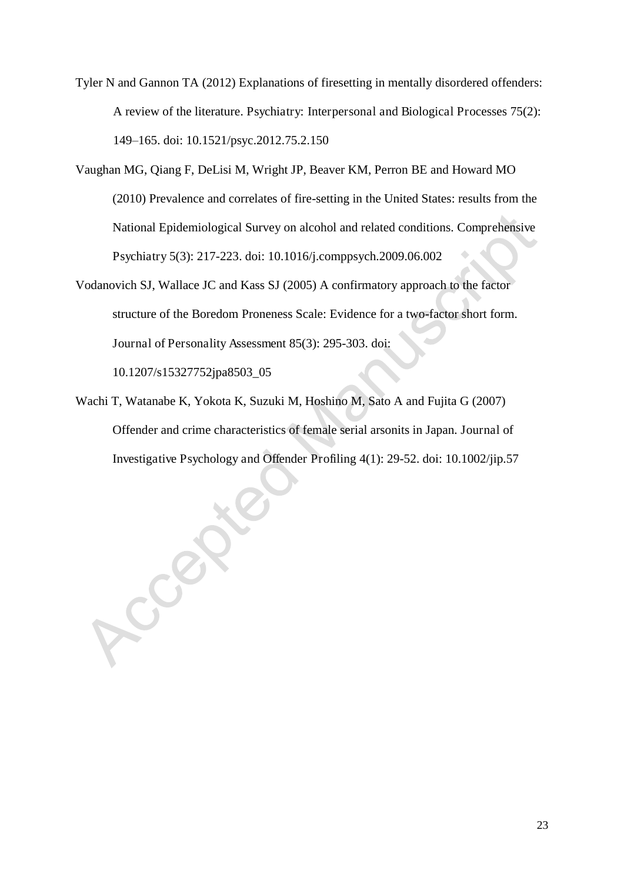Tyler N and Gannon TA (2012) Explanations of firesetting in mentally disordered offenders: A review of the literature. Psychiatry: Interpersonal and Biological Processes 75(2): 149–165. doi: 10.1521/psyc.2012.75.2.150

- Vaughan MG, Qiang F, DeLisi M, Wright JP, Beaver KM, Perron BE and Howard MO (2010) Prevalence and correlates of fire-setting in the United States: results from the National Epidemiological Survey on alcohol and related conditions. Comprehensive Psychiatry 5(3): 217-223. doi: 10.1016/j.comppsych.2009.06.002
- Vodanovich SJ, Wallace JC and Kass SJ (2005) A confirmatory approach to the factor structure of the Boredom Proneness Scale: Evidence for a two-factor short form. Journal of Personality Assessment 85(3): 295-303. doi:

10.1207/s15327752jpa8503\_05

Cer

Wachi T, Watanabe K, Yokota K, Suzuki M, Hoshino M, Sato A and Fujita G (2007) Offender and crime characteristics of female serial arsonits in Japan. Journal of Investigative Psychology and Offender Profiling 4(1): 29-52. doi: 10.1002/jip.57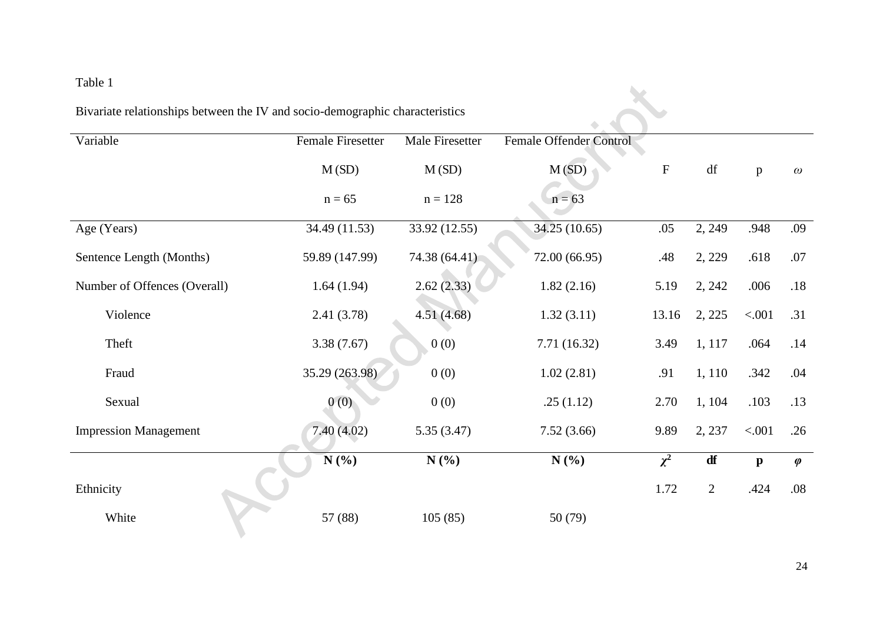## Table 1

| Bivariate relationships between the IV and socio-demographic characteristics |
|------------------------------------------------------------------------------|
|                                                                              |

| Table 1                                                                      |                          |                 |                         |           |                |              |           |  |  |  |  |  |
|------------------------------------------------------------------------------|--------------------------|-----------------|-------------------------|-----------|----------------|--------------|-----------|--|--|--|--|--|
| Bivariate relationships between the IV and socio-demographic characteristics |                          |                 |                         |           |                |              |           |  |  |  |  |  |
| Variable                                                                     | <b>Female Firesetter</b> | Male Firesetter | Female Offender Control |           |                |              |           |  |  |  |  |  |
|                                                                              | M(SD)                    | M(SD)           | M(SD)                   | ${\bf F}$ | df             | p            | $\omega$  |  |  |  |  |  |
|                                                                              | $n = 65$                 | $n = 128$       | $n = 63$                |           |                |              |           |  |  |  |  |  |
| Age (Years)                                                                  | 34.49 (11.53)            | 33.92 (12.55)   | 34.25 (10.65)           | .05       | 2, 249         | .948         | .09       |  |  |  |  |  |
| Sentence Length (Months)                                                     | 59.89 (147.99)           | 74.38 (64.41)   | 72.00 (66.95)           | .48       | 2, 229         | .618         | $.07$     |  |  |  |  |  |
| Number of Offences (Overall)                                                 | 1.64(1.94)               | 2.62(2.33)      | 1.82(2.16)              | 5.19      | 2, 242         | .006         | .18       |  |  |  |  |  |
| Violence                                                                     | 2.41(3.78)               | 4.51 (4.68)     | 1.32(3.11)              | 13.16     | 2, 225         | < .001       | .31       |  |  |  |  |  |
| Theft                                                                        | 3.38(7.67)               | 0(0)            | 7.71 (16.32)            | 3.49      | 1, 117         | .064         | .14       |  |  |  |  |  |
| Fraud                                                                        | 35.29 (263.98)           | 0(0)            | 1.02(2.81)              | .91       | 1, 110         | .342         | .04       |  |  |  |  |  |
| Sexual                                                                       | 0(0)                     | 0(0)            | .25(1.12)               | 2.70      | 1, 104         | .103         | .13       |  |  |  |  |  |
| <b>Impression Management</b>                                                 | 7.40(4.02)               | 5.35(3.47)      | 7.52(3.66)              | 9.89      | 2, 237         | < .001       | .26       |  |  |  |  |  |
|                                                                              | N(%)                     | N(%)            | N(%)                    | $\chi^2$  | df             | $\mathbf{p}$ | $\varphi$ |  |  |  |  |  |
| Ethnicity                                                                    |                          |                 |                         | 1.72      | $\overline{2}$ | .424         | .08       |  |  |  |  |  |
| White                                                                        | 57 (88)                  | 105(85)         | 50(79)                  |           |                |              |           |  |  |  |  |  |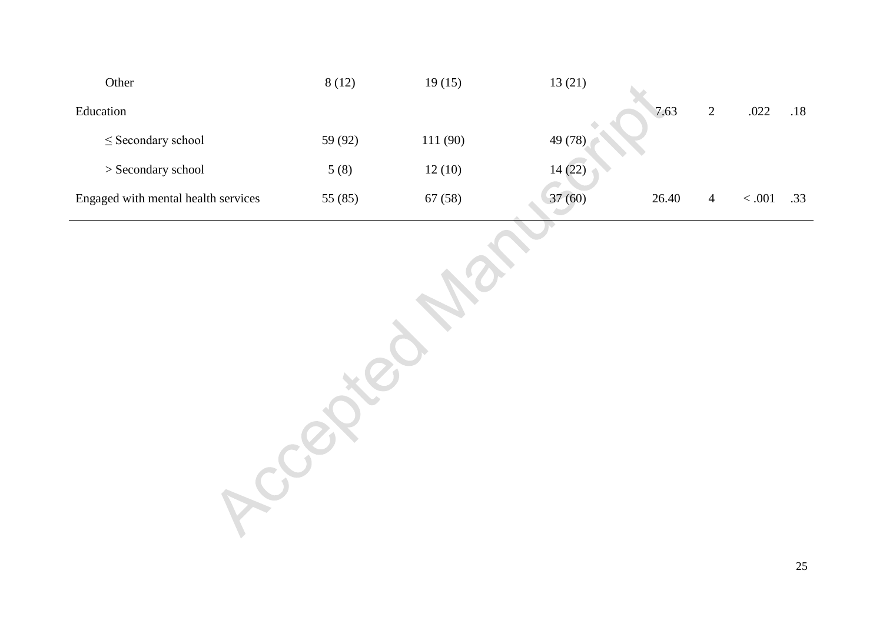| Other                               | 8(12)   | 19(15)  | 13(21)  |       |                |         |     |
|-------------------------------------|---------|---------|---------|-------|----------------|---------|-----|
| Education                           |         |         |         | 7.63  | $\overline{2}$ | .022    | .18 |
| $\leq$ Secondary school             | 59 (92) | 111(90) | 49 (78) |       |                |         |     |
| $>$ Secondary school                | 5(8)    | 12(10)  | 14(22)  |       |                |         |     |
| Engaged with mental health services | 55 (85) | 67(58)  | 37(60)  | 26.40 | $\overline{4}$ | $<.001$ | .33 |
|                                     |         |         |         |       |                |         |     |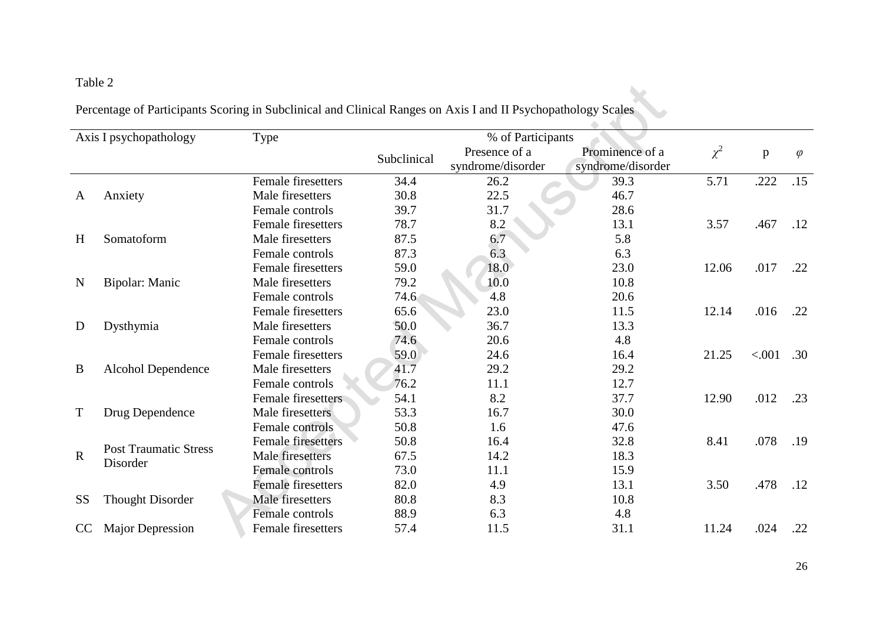## Table 2

| Table 2                                                                                                       |  |
|---------------------------------------------------------------------------------------------------------------|--|
| Percentage of Participants Scoring in Subclinical and Clinical Ranges on Axis I and II Psychopathology Scales |  |

|             | Axis I psychopathology       | Type                      |             | % of Participants                  |                                      |          |        |           |
|-------------|------------------------------|---------------------------|-------------|------------------------------------|--------------------------------------|----------|--------|-----------|
|             |                              |                           | Subclinical | Presence of a<br>syndrome/disorder | Prominence of a<br>syndrome/disorder | $\chi^2$ | p      | $\varphi$ |
|             |                              | <b>Female firesetters</b> | 34.4        | 26.2                               | 39.3                                 | 5.71     | .222   | .15       |
| A           | Anxiety                      | Male firesetters          | 30.8        | 22.5                               | 46.7                                 |          |        |           |
|             |                              | Female controls           | 39.7        | 31.7                               | 28.6                                 |          |        |           |
|             |                              | <b>Female firesetters</b> | 78.7        | 8.2                                | 13.1                                 | 3.57     | .467   | .12       |
| H           | Somatoform                   | Male firesetters          | 87.5        | 6.7                                | 5.8                                  |          |        |           |
|             |                              | Female controls           | 87.3        | 6.3                                | 6.3                                  |          |        |           |
|             |                              | <b>Female firesetters</b> | 59.0        | 18.0                               | 23.0                                 | 12.06    | .017   | .22       |
| N           | Bipolar: Manic               | Male firesetters          | 79.2        | 10.0                               | 10.8                                 |          |        |           |
|             |                              | Female controls           | 74.6        | 4.8                                | 20.6                                 |          |        |           |
|             |                              | <b>Female firesetters</b> | 65.6        | 23.0                               | 11.5                                 | 12.14    | .016   | .22       |
| D           | Dysthymia                    | Male firesetters          | 50.0        | 36.7                               | 13.3                                 |          |        |           |
|             |                              | Female controls           | 74.6        | 20.6                               | 4.8                                  |          |        |           |
|             |                              | <b>Female firesetters</b> | 59.0        | 24.6                               | 16.4                                 | 21.25    | < .001 | .30       |
| B           | Alcohol Dependence           | Male firesetters          | 41.7        | 29.2                               | 29.2                                 |          |        |           |
|             |                              | Female controls           | 76.2        | 11.1                               | 12.7                                 |          |        |           |
|             |                              | Female firesetters        | 54.1        | 8.2                                | 37.7                                 | 12.90    | .012   | .23       |
| T           | Drug Dependence              | Male firesetters          | 53.3        | 16.7                               | 30.0                                 |          |        |           |
|             |                              | Female controls           | 50.8        | 1.6                                | 47.6                                 |          |        |           |
|             | <b>Post Traumatic Stress</b> | <b>Female firesetters</b> | 50.8        | 16.4                               | 32.8                                 | 8.41     | .078   | .19       |
| $\mathbf R$ | Disorder                     | <b>Male</b> firesetters   | 67.5        | 14.2                               | 18.3                                 |          |        |           |
|             |                              | Female controls           | 73.0        | 11.1                               | 15.9                                 |          |        |           |
|             |                              | <b>Female firesetters</b> | 82.0        | 4.9                                | 13.1                                 | 3.50     | .478   | .12       |
| <b>SS</b>   | <b>Thought Disorder</b>      | <b>Male</b> firesetters   | 80.8        | 8.3                                | 10.8                                 |          |        |           |
|             |                              | Female controls           | 88.9        | 6.3                                | 4.8                                  |          |        |           |
| CC          | <b>Major Depression</b>      | <b>Female firesetters</b> | 57.4        | 11.5                               | 31.1                                 | 11.24    | .024   | .22       |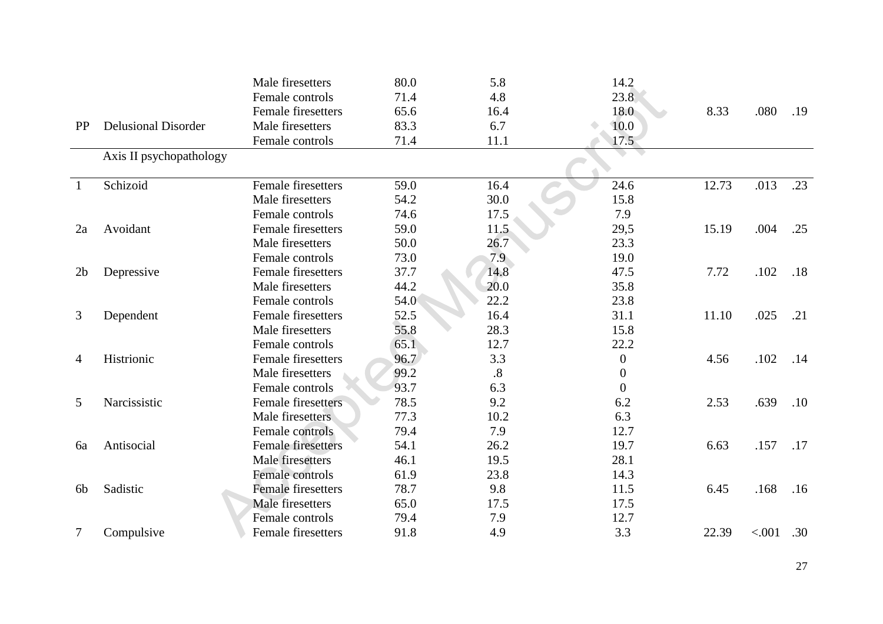|                |                            | Male firesetters          | 80.0 | 5.8             | 14.2             |       |        |     |
|----------------|----------------------------|---------------------------|------|-----------------|------------------|-------|--------|-----|
|                |                            | Female controls           | 71.4 | 4.8             | 23.8             |       |        |     |
|                |                            | <b>Female firesetters</b> | 65.6 | 16.4            | 18.0             | 8.33  | .080   | .19 |
| <b>PP</b>      | <b>Delusional Disorder</b> | Male firesetters          | 83.3 | 6.7             | 10.0             |       |        |     |
|                |                            | Female controls           | 71.4 | 11.1            | 17.5             |       |        |     |
|                | Axis II psychopathology    |                           |      |                 |                  |       |        |     |
|                |                            |                           |      |                 |                  |       |        |     |
| $\mathbf{1}$   | Schizoid                   | Female firesetters        | 59.0 | 16.4            | 24.6             | 12.73 | .013   | .23 |
|                |                            | Male firesetters          | 54.2 | 30.0            | 15.8             |       |        |     |
|                |                            | Female controls           | 74.6 | 17.5            | 7.9              |       |        |     |
| 2a             | Avoidant                   | <b>Female firesetters</b> | 59.0 | 11.5            | 29,5             | 15.19 | .004   | .25 |
|                |                            | Male firesetters          | 50.0 | 26.7            | 23.3             |       |        |     |
|                |                            | Female controls           | 73.0 | 7.9             | 19.0             |       |        |     |
| 2 <sub>b</sub> | Depressive                 | <b>Female firesetters</b> | 37.7 | 14.8            | 47.5             | 7.72  | .102   | .18 |
|                |                            | Male firesetters          | 44.2 | 20.0            | 35.8             |       |        |     |
|                |                            | Female controls           | 54.0 | 22.2            | 23.8             |       |        |     |
| 3              | Dependent                  | <b>Female firesetters</b> | 52.5 | 16.4            | 31.1             | 11.10 | .025   | .21 |
|                |                            | Male firesetters          | 55.8 | 28.3            | 15.8             |       |        |     |
|                |                            | Female controls           | 65.1 | 12.7            | 22.2             |       |        |     |
| 4              | Histrionic                 | Female firesetters        | 96.7 | 3.3             | $\boldsymbol{0}$ | 4.56  | .102   | .14 |
|                |                            | Male firesetters          | 99.2 | $\overline{.8}$ | $\overline{0}$   |       |        |     |
|                |                            | Female controls           | 93.7 | 6.3             | $\Omega$         |       |        |     |
| 5              | Narcissistic               | <b>Female firesetters</b> | 78.5 | 9.2             | 6.2              | 2.53  | .639   | .10 |
|                |                            | Male firesetters          | 77.3 | 10.2            | 6.3              |       |        |     |
|                |                            | Female controls           | 79.4 | 7.9             | 12.7             |       |        |     |
| 6a             | Antisocial                 | <b>Female firesetters</b> | 54.1 | 26.2            | 19.7             | 6.63  | .157   | .17 |
|                |                            | Male firesetters          | 46.1 | 19.5            | 28.1             |       |        |     |
|                |                            | Female controls           | 61.9 | 23.8            | 14.3             |       |        |     |
| 6 <sub>b</sub> | Sadistic                   | <b>Female firesetters</b> | 78.7 | 9.8             | 11.5             | 6.45  | .168   | .16 |
|                |                            | <b>Male</b> firesetters   | 65.0 | 17.5            | 17.5             |       |        |     |
|                |                            | Female controls           | 79.4 | 7.9             | 12.7             |       |        |     |
| 7              | Compulsive                 | Female firesetters        | 91.8 | 4.9             | 3.3              | 22.39 | < .001 | .30 |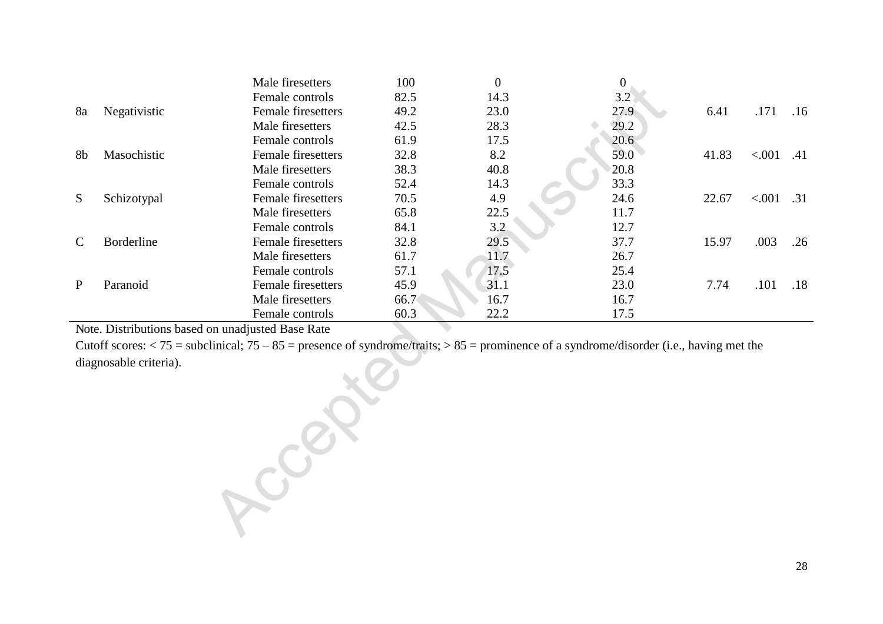|               |                   | Male firesetters          | 100  | $\overline{0}$ | $\boldsymbol{0}$ |       |        |     |
|---------------|-------------------|---------------------------|------|----------------|------------------|-------|--------|-----|
|               |                   | Female controls           | 82.5 | 14.3           | 3.2              |       |        |     |
| 8a            | Negativistic      | <b>Female firesetters</b> | 49.2 | 23.0           | 27.9             | 6.41  | .171   | .16 |
|               |                   | Male firesetters          | 42.5 | 28.3           | 29.2             |       |        |     |
|               |                   | Female controls           | 61.9 | 17.5           | 20.6             |       |        |     |
| 8b            | Masochistic       | <b>Female firesetters</b> | 32.8 | 8.2            | 59.0             | 41.83 | < .001 | .41 |
|               |                   | Male firesetters          | 38.3 | 40.8           | 20.8             |       |        |     |
|               |                   | Female controls           | 52.4 | 14.3           | 33.3             |       |        |     |
| S             | Schizotypal       | Female firesetters        | 70.5 | 4.9            | 24.6             | 22.67 | < .001 | .31 |
|               |                   | Male firesetters          | 65.8 | 22.5           | 11.7             |       |        |     |
|               |                   | Female controls           | 84.1 | 3.2            | 12.7             |       |        |     |
| $\mathcal{C}$ | <b>Borderline</b> | <b>Female firesetters</b> | 32.8 | 29.5           | 37.7             | 15.97 | .003   | .26 |
|               |                   | Male firesetters          | 61.7 | 11.7           | 26.7             |       |        |     |
|               |                   | Female controls           | 57.1 | 17.5           | 25.4             |       |        |     |
| P             | Paranoid          | Female firesetters        | 45.9 | 31.1           | 23.0             | 7.74  | .101   | .18 |
|               |                   | Male firesetters          | 66.7 | 16.7           | 16.7             |       |        |     |
|               |                   | Female controls           | 60.3 | 22.2           | 17.5             |       |        |     |

Note. Distributions based on unadjusted Base Rate

Cutoff scores:  $<$  75 = subclinical; 75 – 85 = presence of syndrome/traits; > 85 = prominence of a syndrome/disorder (i.e., having met the diagnosable criteria). Accepted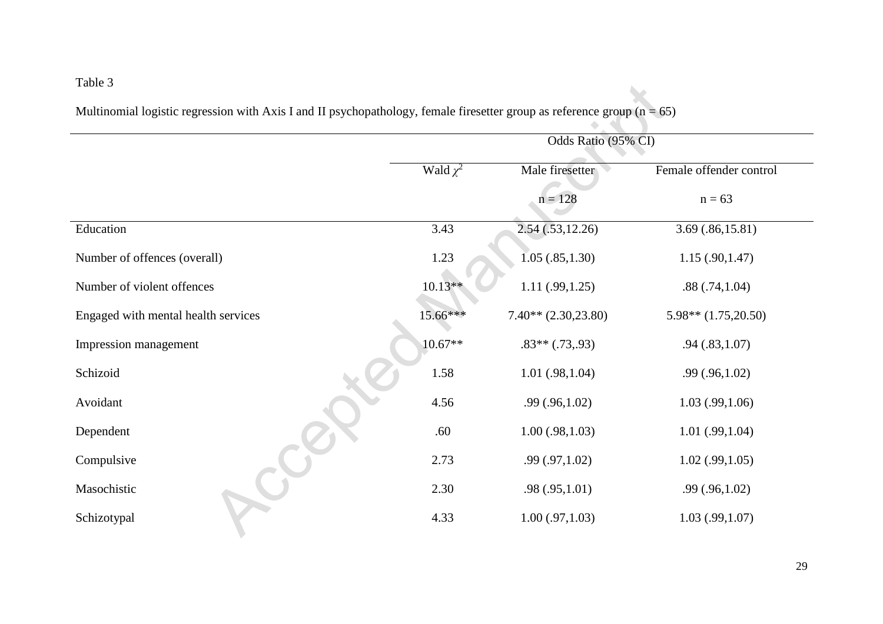## Table 3

| Multinomial logistic regression with Axis I and II psychopathology, female firesetter group as reference group $(n = 65)$ |
|---------------------------------------------------------------------------------------------------------------------------|
|---------------------------------------------------------------------------------------------------------------------------|

|                                     |               | Odds Ratio (95% CI)    |                         |
|-------------------------------------|---------------|------------------------|-------------------------|
|                                     | Wald $\chi^2$ | Male firesetter        | Female offender control |
|                                     |               | $n = 128$              | $n = 63$                |
| Education                           | 3.43          | 2.54(.53, 12.26)       | 3.69(.86,15.81)         |
| Number of offences (overall)        | 1.23          | 1.05(.85,1.30)         | 1.15(.90, 1.47)         |
| Number of violent offences          | $10.13**$     | 1.11(.99, 1.25)        | .88(.74,1.04)           |
| Engaged with mental health services | 15.66***      | $7.40** (2.30, 23.80)$ | $5.98**$ $(1.75,20.50)$ |
| Impression management               | $10.67**$     | $.83**$ $(.73, .93)$   | .94(0.83,1.07)          |
| Schizoid                            | 1.58          | 1.01(.98,1.04)         | .99(.96,1.02)           |
| Avoidant                            | 4.56          | .99(.96,1.02)          | 1.03(0.99,1.06)         |
| Dependent                           | .60           | 1.00(0.98, 1.03)       | 1.01(.99,1.04)          |
| Compulsive                          | 2.73          | .99(.97,1.02)          | $1.02$ (.99,1.05)       |
| Masochistic                         | 2.30          | .98(.95,1.01)          | .99(.96,1.02)           |
| Schizotypal                         | 4.33          | $1.00$ (.97,1.03)      | 1.03(0.99,1.07)         |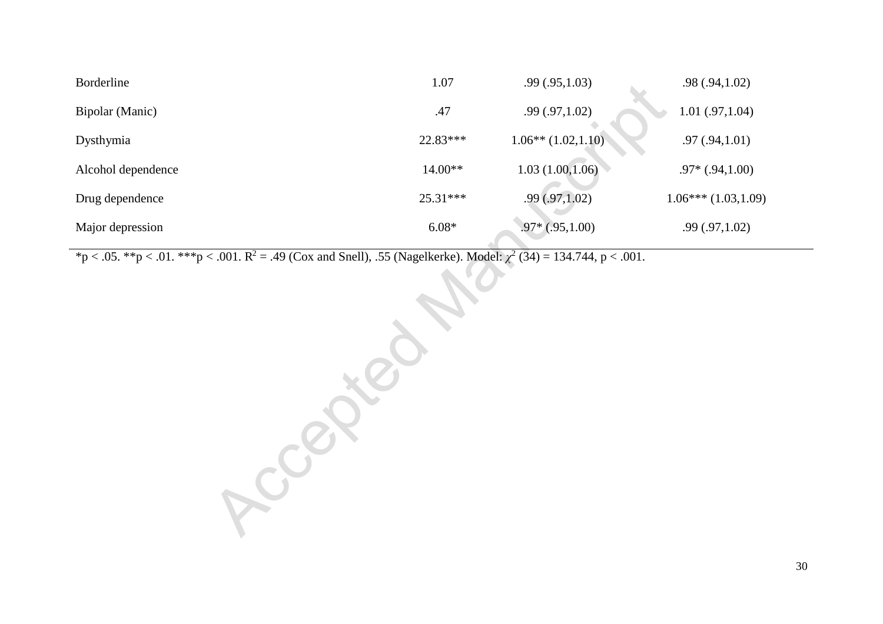| Borderline         | 1.07       | .99(.95,1.03)           | .98(.94,1.02)        |
|--------------------|------------|-------------------------|----------------------|
| Bipolar (Manic)    | .47        | .99(.97,1.02)           | 1.01(.97,1.04)       |
| Dysthymia          | $22.83***$ | $1.06**$ $(1.02, 1.10)$ | $.97 \,(.94, 1.01)$  |
| Alcohol dependence | $14.00**$  | 1.03(1.00, 1.06)        | $.97*(.94,1.00)$     |
| Drug dependence    | $25.31***$ | .99(.97,1.02)           | $1.06***(1.03,1.09)$ |
| Major depression   | $6.08*$    | $.97*(.95,1.00)$        | .99(.97,1.02)        |

 $*p < .05.$   $* p < .01.$   $* * p < .001.$   $R^2 = .49$  (Cox and Snell), .55 (Nagelkerke). Model:  $\chi^2$  (34) = 134.744, p < .001.  $=$  .49 (Cox and Snell), .55 (Nagelkerke). Model:  $\chi^2$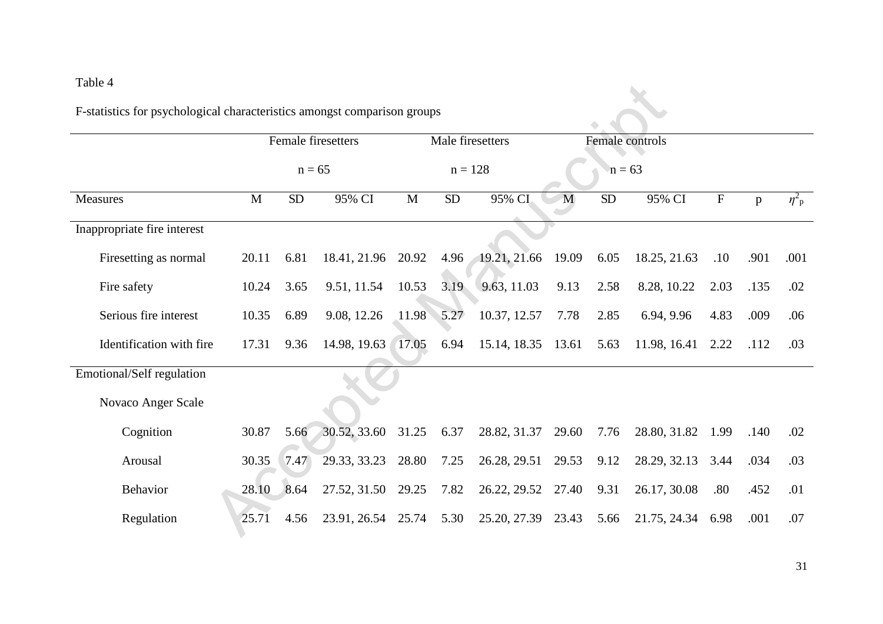## Table 4

|                             |       |           | Female firesetters |              |                  |                    |                 |           |                   |                           |      |                       |
|-----------------------------|-------|-----------|--------------------|--------------|------------------|--------------------|-----------------|-----------|-------------------|---------------------------|------|-----------------------|
|                             |       |           |                    |              | Male firesetters |                    | Female controls |           |                   |                           |      |                       |
|                             |       | $n = 65$  |                    |              | $n = 128$        |                    |                 | $n = 63$  |                   |                           |      |                       |
| <b>Measures</b>             | M     | <b>SD</b> | 95% CI             | $\mathbf{M}$ | SD               | 95% CI             | M               | <b>SD</b> | 95% CI            | $\boldsymbol{\mathrm{F}}$ | p    | $\eta^2$ <sub>p</sub> |
| Inappropriate fire interest |       |           |                    |              |                  |                    |                 |           |                   |                           |      |                       |
| Firesetting as normal       | 20.11 | 6.81      | 18.41, 21.96       | 20.92        | 4.96             | 19.21, 21.66       | 19.09           | 6.05      | 18.25, 21.63      | .10                       | .901 | .001                  |
| Fire safety                 | 10.24 | 3.65      | 9.51, 11.54        | 10.53        | 3.19             | 9.63, 11.03        | 9.13            | 2.58      | 8.28, 10.22       | 2.03                      | .135 | .02                   |
| Serious fire interest       | 10.35 | 6.89      | 9.08, 12.26        | 11.98        | 5.27             | 10.37, 12.57       | 7.78            | 2.85      | 6.94, 9.96        | 4.83                      | .009 | .06                   |
| Identification with fire    | 17.31 | 9.36      | 14.98, 19.63 17.05 |              | 6.94             | 15.14, 18.35 13.61 |                 | 5.63      | 11.98, 16.41 2.22 |                           | .112 | .03                   |
| Emotional/Self regulation   |       |           |                    |              |                  |                    |                 |           |                   |                           |      |                       |
| Novaco Anger Scale          |       |           |                    |              |                  |                    |                 |           |                   |                           |      |                       |
| Cognition                   | 30.87 | 5.66      | 30.52, 33.60       | 31.25        | 6.37             | 28.82, 31.37       | 29.60           | 7.76      | 28.80, 31.82      | 1.99                      | .140 | .02                   |
| Arousal                     | 30.35 | 7.47      | 29.33, 33.23       | 28.80        | 7.25             | 26.28, 29.51       | 29.53           | 9.12      | 28.29, 32.13      | 3.44                      | .034 | .03                   |
| <b>Behavior</b>             | 28.10 | 8.64      | 27.52, 31.50       | 29.25        | 7.82             | 26.22, 29.52 27.40 |                 | 9.31      | 26.17, 30.08      | .80                       | .452 | .01                   |
| Regulation                  | 25.71 | 4.56      | 23.91, 26.54 25.74 |              | 5.30             | 25.20, 27.39       | 23.43           | 5.66      | 21.75, 24.34      | 6.98                      | .001 | .07                   |

 $\lambda$ 

F-statistics for psychological characteristics amongst comparison groups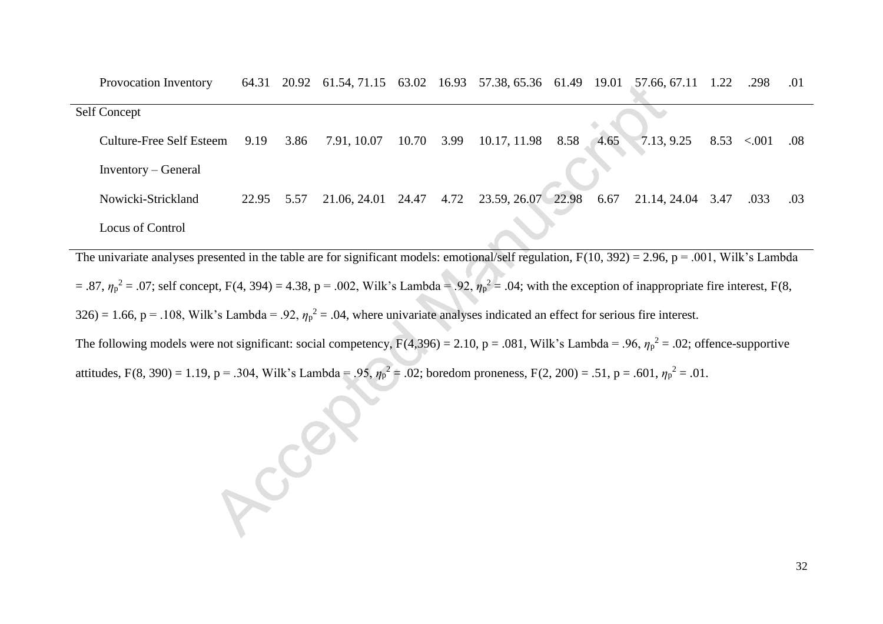| Provocation Inventory           |       |      |              |       |      | 64.31 20.92 61.54, 71.15 63.02 16.93 57.38, 65.36 61.49 19.01 |      |      | $57.66, 67.11$ 1.22 | .298             | .01 |
|---------------------------------|-------|------|--------------|-------|------|---------------------------------------------------------------|------|------|---------------------|------------------|-----|
| Self Concept                    |       |      |              |       |      |                                                               |      |      |                     |                  |     |
| <b>Culture-Free Self Esteem</b> | 9.19  | 3.86 | 7.91, 10.07  | 10.70 | 3.99 | 10.17, 11.98                                                  | 8.58 | 4.65 | 7.13, 9.25          | $8.53$ < 001 .08 |     |
| Inventory – General             |       |      |              |       |      |                                                               |      |      |                     |                  |     |
| Nowicki-Strickland              | 22.95 | 5.57 | 21.06, 24.01 | 24.47 | 4.72 | 23.59, 26.07 22.98                                            |      | 6.67 | 21.14, 24.04 3.47   | .033             | .03 |
| Locus of Control                |       |      |              |       |      |                                                               |      |      |                     |                  |     |

The univariate analyses presented in the table are for significant models: emotional/self regulation,  $F(10, 392) = 2.96$ ,  $p = .001$ , Wilk's Lambda  $=$  .87,  $\eta_p^2$  = .07; self concept, F(4, 394) = 4.38, p = .002, Wilk's Lambda = .92,  $\eta_p^2$  = .04; with the exception of inappropriate fire interest, F(8,  $326$  = 1.66, p = .108, Wilk's Lambda = .92,  $\eta_p^2$  = .04, where univariate analyses indicated an effect for serious fire interest.

The following models were not significant: social competency,  $F(4,396) = 2.10$ ,  $p = .081$ , Wilk's Lambda = .96,  $\eta_p^2 = .02$ ; offence-supportive attitudes, F(8, 390) = 1.19, p = .304, Wilk's Lambda = .95,  $\eta_p^2$  = .02; boredom proneness, F(2, 200) = .51, p = .601,  $\eta_p^2$  = .01.

Access